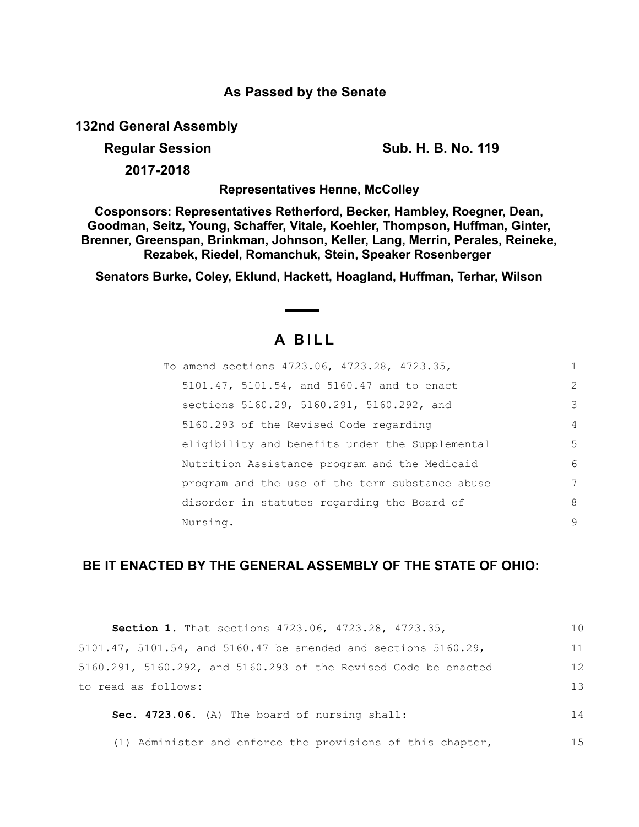# **As Passed by the Senate**

**132nd General Assembly**

**Regular Session Sub. H. B. No. 119** 

**2017-2018**

**Representatives Henne, McColley**

**Cosponsors: Representatives Retherford, Becker, Hambley, Roegner, Dean, Goodman, Seitz, Young, Schaffer, Vitale, Koehler, Thompson, Huffman, Ginter, Brenner, Greenspan, Brinkman, Johnson, Keller, Lang, Merrin, Perales, Reineke, Rezabek, Riedel, Romanchuk, Stein, Speaker Rosenberger** 

**Senators Burke, Coley, Eklund, Hackett, Hoagland, Huffman, Terhar, Wilson**

# **A B I L L**

| To amend sections 4723.06, 4723.28, 4723.35,    | 1              |
|-------------------------------------------------|----------------|
| 5101.47, 5101.54, and 5160.47 and to enact      | 2              |
| sections 5160.29, 5160.291, 5160.292, and       | 3              |
| 5160.293 of the Revised Code regarding          | $\overline{4}$ |
| eligibility and benefits under the Supplemental | 5              |
| Nutrition Assistance program and the Medicaid   | 6              |
| program and the use of the term substance abuse | 7              |
| disorder in statutes regarding the Board of     | 8              |
| Nursing.                                        | 9              |

# **BE IT ENACTED BY THE GENERAL ASSEMBLY OF THE STATE OF OHIO:**

| Section 1. That sections 4723.06, 4723.28, 4723.35,             | 10 |
|-----------------------------------------------------------------|----|
| 5101.47, 5101.54, and 5160.47 be amended and sections 5160.29,  | 11 |
| 5160.291, 5160.292, and 5160.293 of the Revised Code be enacted | 12 |
| to read as follows:                                             | 13 |
| Sec. 4723.06. (A) The board of nursing shall:                   | 14 |
| (1) Administer and enforce the provisions of this chapter,      | 15 |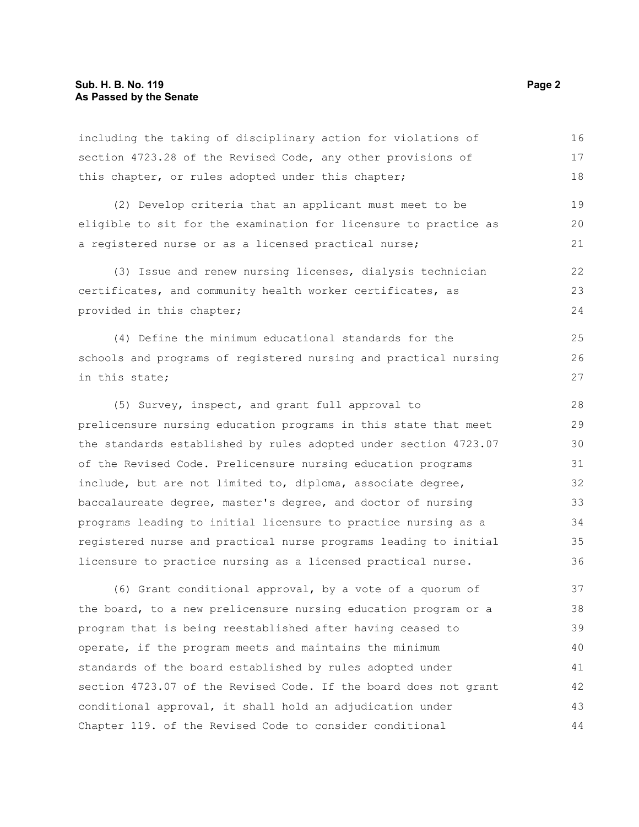including the taking of disciplinary action for violations of section 4723.28 of the Revised Code, any other provisions of this chapter, or rules adopted under this chapter; 16 17 18

(2) Develop criteria that an applicant must meet to be eligible to sit for the examination for licensure to practice as a registered nurse or as a licensed practical nurse; 19 20 21

(3) Issue and renew nursing licenses, dialysis technician certificates, and community health worker certificates, as provided in this chapter;

(4) Define the minimum educational standards for the schools and programs of registered nursing and practical nursing in this state;

(5) Survey, inspect, and grant full approval to prelicensure nursing education programs in this state that meet the standards established by rules adopted under section 4723.07 of the Revised Code. Prelicensure nursing education programs include, but are not limited to, diploma, associate degree, baccalaureate degree, master's degree, and doctor of nursing programs leading to initial licensure to practice nursing as a registered nurse and practical nurse programs leading to initial licensure to practice nursing as a licensed practical nurse. 28 29 30 31 32 33 34 35 36

(6) Grant conditional approval, by a vote of a quorum of the board, to a new prelicensure nursing education program or a program that is being reestablished after having ceased to operate, if the program meets and maintains the minimum standards of the board established by rules adopted under section 4723.07 of the Revised Code. If the board does not grant conditional approval, it shall hold an adjudication under Chapter 119. of the Revised Code to consider conditional 37 38 39 40 41 42 43 44

22 23 24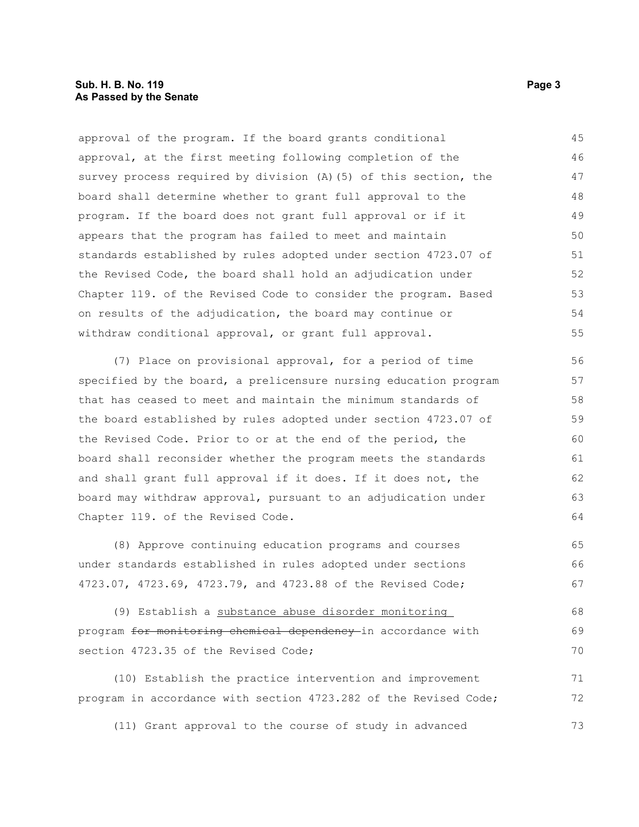approval of the program. If the board grants conditional approval, at the first meeting following completion of the survey process required by division (A)(5) of this section, the board shall determine whether to grant full approval to the program. If the board does not grant full approval or if it appears that the program has failed to meet and maintain standards established by rules adopted under section 4723.07 of the Revised Code, the board shall hold an adjudication under Chapter 119. of the Revised Code to consider the program. Based on results of the adjudication, the board may continue or withdraw conditional approval, or grant full approval. 45 46 47 48 49 50 51 52 53 54 55

(7) Place on provisional approval, for a period of time specified by the board, a prelicensure nursing education program that has ceased to meet and maintain the minimum standards of the board established by rules adopted under section 4723.07 of the Revised Code. Prior to or at the end of the period, the board shall reconsider whether the program meets the standards and shall grant full approval if it does. If it does not, the board may withdraw approval, pursuant to an adjudication under Chapter 119. of the Revised Code.

(8) Approve continuing education programs and courses under standards established in rules adopted under sections 4723.07, 4723.69, 4723.79, and 4723.88 of the Revised Code; 65 66 67

(9) Establish a substance abuse disorder monitoring program for monitoring chemical dependency in accordance with section 4723.35 of the Revised Code; 68 69 70

(10) Establish the practice intervention and improvement program in accordance with section 4723.282 of the Revised Code; 71 72

(11) Grant approval to the course of study in advanced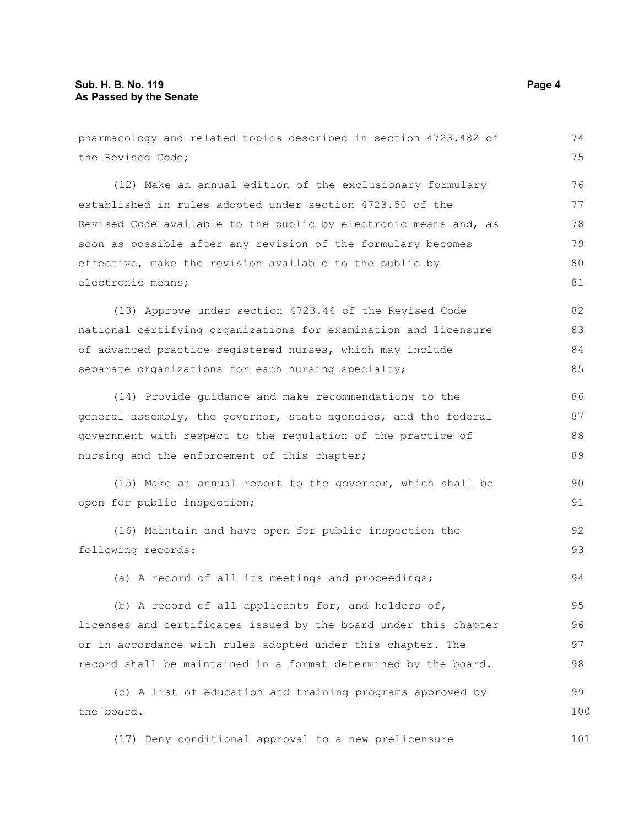| pharmacology and related topics described in section 4723.482 of | 74  |
|------------------------------------------------------------------|-----|
| the Revised Code;                                                | 75  |
| (12) Make an annual edition of the exclusionary formulary        | 76  |
| established in rules adopted under section 4723.50 of the        | 77  |
| Revised Code available to the public by electronic means and, as | 78  |
| soon as possible after any revision of the formulary becomes     | 79  |
| effective, make the revision available to the public by          | 80  |
| electronic means;                                                | 81  |
| (13) Approve under section 4723.46 of the Revised Code           | 82  |
| national certifying organizations for examination and licensure  | 83  |
| of advanced practice registered nurses, which may include        | 84  |
| separate organizations for each nursing specialty;               | 85  |
| (14) Provide guidance and make recommendations to the            | 86  |
| general assembly, the governor, state agencies, and the federal  | 87  |
| government with respect to the regulation of the practice of     | 88  |
| nursing and the enforcement of this chapter;                     | 89  |
| (15) Make an annual report to the governor, which shall be       | 90  |
| open for public inspection;                                      | 91  |
| (16) Maintain and have open for public inspection the            | 92  |
| following records:                                               | 93  |
| (a) A record of all its meetings and proceedings;                | 94  |
| (b) A record of all applicants for, and holders of,              | 95  |
| licenses and certificates issued by the board under this chapter | 96  |
| or in accordance with rules adopted under this chapter. The      | 97  |
| record shall be maintained in a format determined by the board.  | 98  |
| (c) A list of education and training programs approved by        | 99  |
| the board.                                                       | 100 |
| (17) Deny conditional approval to a new prelicensure             | 101 |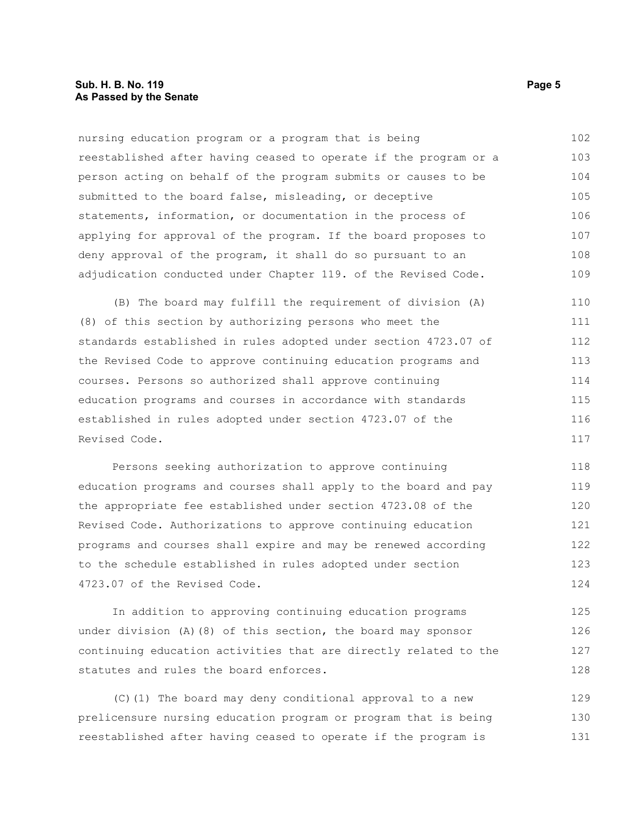nursing education program or a program that is being reestablished after having ceased to operate if the program or a person acting on behalf of the program submits or causes to be submitted to the board false, misleading, or deceptive statements, information, or documentation in the process of applying for approval of the program. If the board proposes to deny approval of the program, it shall do so pursuant to an adjudication conducted under Chapter 119. of the Revised Code. 102 103 104 105 106 107 108 109

(B) The board may fulfill the requirement of division (A) (8) of this section by authorizing persons who meet the standards established in rules adopted under section 4723.07 of the Revised Code to approve continuing education programs and courses. Persons so authorized shall approve continuing education programs and courses in accordance with standards established in rules adopted under section 4723.07 of the Revised Code. 110 111 112 113 114 115 116 117

Persons seeking authorization to approve continuing education programs and courses shall apply to the board and pay the appropriate fee established under section 4723.08 of the Revised Code. Authorizations to approve continuing education programs and courses shall expire and may be renewed according to the schedule established in rules adopted under section 4723.07 of the Revised Code. 118 119 120 121 122 123 124

In addition to approving continuing education programs under division (A)(8) of this section, the board may sponsor continuing education activities that are directly related to the statutes and rules the board enforces. 125 126 127 128

(C)(1) The board may deny conditional approval to a new prelicensure nursing education program or program that is being reestablished after having ceased to operate if the program is 129 130 131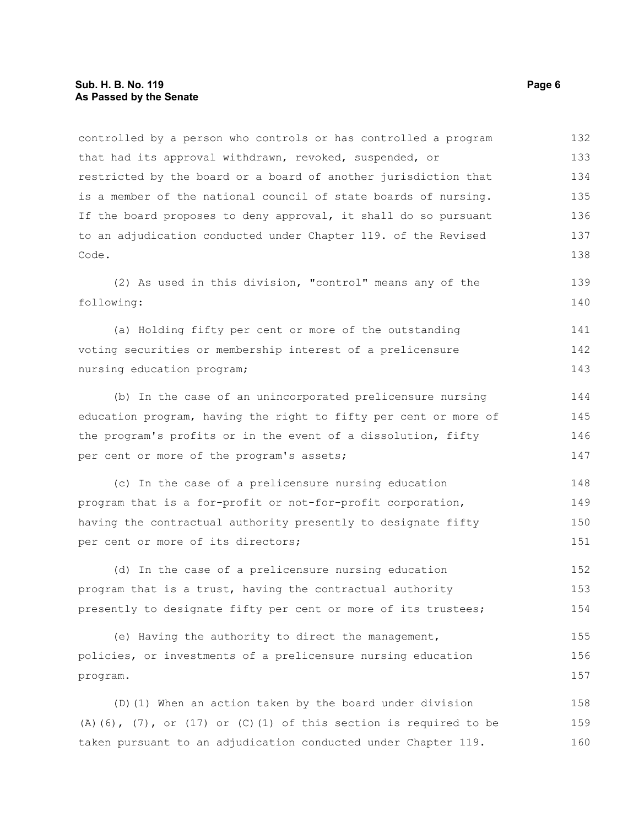controlled by a person who controls or has controlled a program that had its approval withdrawn, revoked, suspended, or restricted by the board or a board of another jurisdiction that is a member of the national council of state boards of nursing. If the board proposes to deny approval, it shall do so pursuant to an adjudication conducted under Chapter 119. of the Revised Code. (2) As used in this division, "control" means any of the following: (a) Holding fifty per cent or more of the outstanding voting securities or membership interest of a prelicensure nursing education program; (b) In the case of an unincorporated prelicensure nursing education program, having the right to fifty per cent or more of the program's profits or in the event of a dissolution, fifty per cent or more of the program's assets; (c) In the case of a prelicensure nursing education program that is a for-profit or not-for-profit corporation, having the contractual authority presently to designate fifty per cent or more of its directors; (d) In the case of a prelicensure nursing education program that is a trust, having the contractual authority presently to designate fifty per cent or more of its trustees; (e) Having the authority to direct the management, policies, or investments of a prelicensure nursing education program. (D)(1) When an action taken by the board under division 132 133 134 135 136 137 138 139 140 141 142 143 144 145 146 147 148 149 150 151 152 153 154 155 156 157 158

 $(A)$ (6),  $(7)$ , or  $(17)$  or  $(C)$ (1) of this section is required to be taken pursuant to an adjudication conducted under Chapter 119. 159 160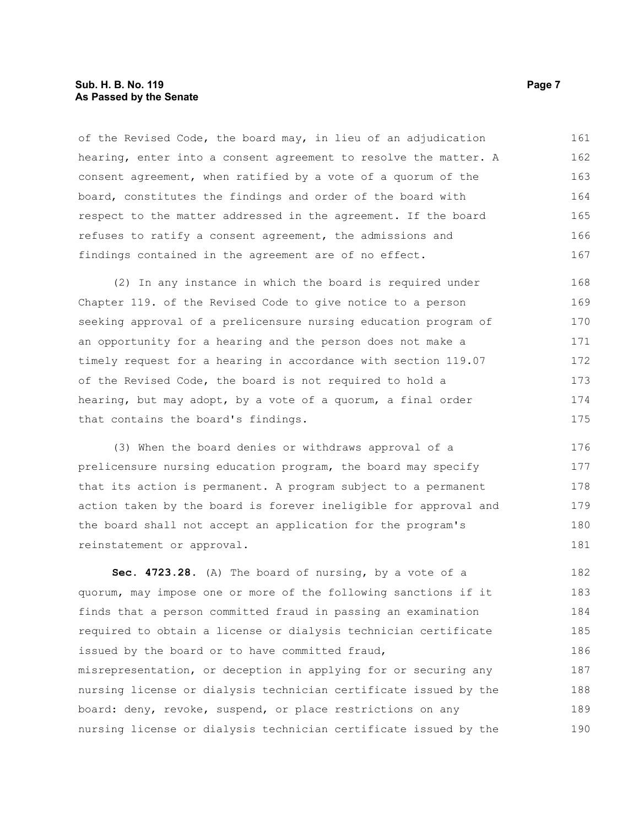# **Sub. H. B. No. 119 Page 7 As Passed by the Senate**

of the Revised Code, the board may, in lieu of an adjudication hearing, enter into a consent agreement to resolve the matter. A consent agreement, when ratified by a vote of a quorum of the board, constitutes the findings and order of the board with respect to the matter addressed in the agreement. If the board refuses to ratify a consent agreement, the admissions and findings contained in the agreement are of no effect. 161 162 163 164 165 166 167

(2) In any instance in which the board is required under Chapter 119. of the Revised Code to give notice to a person seeking approval of a prelicensure nursing education program of an opportunity for a hearing and the person does not make a timely request for a hearing in accordance with section 119.07 of the Revised Code, the board is not required to hold a hearing, but may adopt, by a vote of a quorum, a final order that contains the board's findings. 168 169 170 171 172 173 174 175

(3) When the board denies or withdraws approval of a prelicensure nursing education program, the board may specify that its action is permanent. A program subject to a permanent action taken by the board is forever ineligible for approval and the board shall not accept an application for the program's reinstatement or approval. 176 177 178 179 180 181

**Sec. 4723.28.** (A) The board of nursing, by a vote of a quorum, may impose one or more of the following sanctions if it finds that a person committed fraud in passing an examination required to obtain a license or dialysis technician certificate issued by the board or to have committed fraud, misrepresentation, or deception in applying for or securing any nursing license or dialysis technician certificate issued by the board: deny, revoke, suspend, or place restrictions on any nursing license or dialysis technician certificate issued by the 182 183 184 185 186 187 188 189 190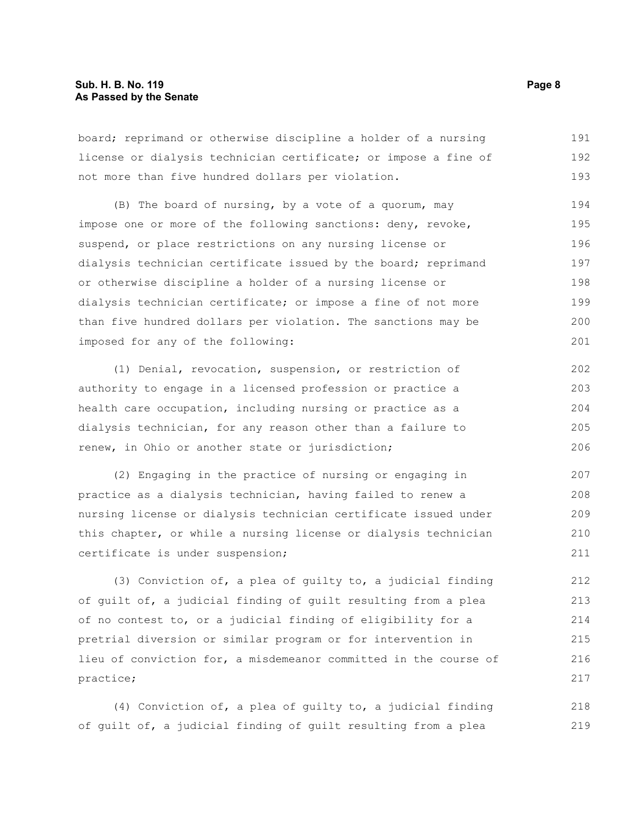# **Sub. H. B. No. 119 Page 8 As Passed by the Senate**

board; reprimand or otherwise discipline a holder of a nursing license or dialysis technician certificate; or impose a fine of not more than five hundred dollars per violation. 191 192 193

(B) The board of nursing, by a vote of a quorum, may impose one or more of the following sanctions: deny, revoke, suspend, or place restrictions on any nursing license or dialysis technician certificate issued by the board; reprimand or otherwise discipline a holder of a nursing license or dialysis technician certificate; or impose a fine of not more than five hundred dollars per violation. The sanctions may be imposed for any of the following: 194 195 196 197 198 199 200 201

(1) Denial, revocation, suspension, or restriction of authority to engage in a licensed profession or practice a health care occupation, including nursing or practice as a dialysis technician, for any reason other than a failure to renew, in Ohio or another state or jurisdiction; 202 203 204 205 206

(2) Engaging in the practice of nursing or engaging in practice as a dialysis technician, having failed to renew a nursing license or dialysis technician certificate issued under this chapter, or while a nursing license or dialysis technician certificate is under suspension; 207 208 209 210 211

(3) Conviction of, a plea of guilty to, a judicial finding of guilt of, a judicial finding of guilt resulting from a plea of no contest to, or a judicial finding of eligibility for a pretrial diversion or similar program or for intervention in lieu of conviction for, a misdemeanor committed in the course of practice;

(4) Conviction of, a plea of guilty to, a judicial finding of guilt of, a judicial finding of guilt resulting from a plea 218 219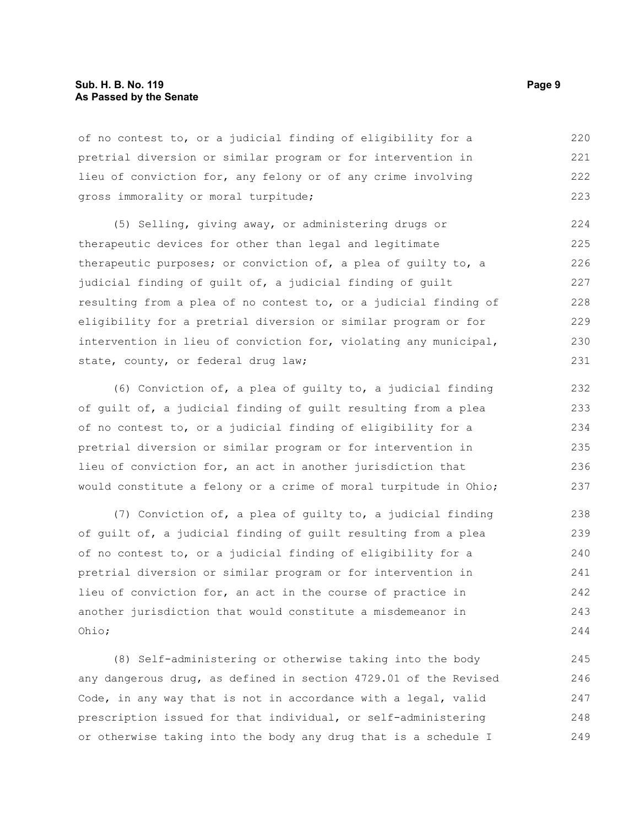## **Sub. H. B. No. 119 Page 9 As Passed by the Senate**

of no contest to, or a judicial finding of eligibility for a pretrial diversion or similar program or for intervention in lieu of conviction for, any felony or of any crime involving gross immorality or moral turpitude; 220 221 222 223

(5) Selling, giving away, or administering drugs or therapeutic devices for other than legal and legitimate therapeutic purposes; or conviction of, a plea of guilty to, a judicial finding of guilt of, a judicial finding of guilt resulting from a plea of no contest to, or a judicial finding of eligibility for a pretrial diversion or similar program or for intervention in lieu of conviction for, violating any municipal, state, county, or federal drug law; 224 225 226 227 228 229 230 231

(6) Conviction of, a plea of guilty to, a judicial finding of guilt of, a judicial finding of guilt resulting from a plea of no contest to, or a judicial finding of eligibility for a pretrial diversion or similar program or for intervention in lieu of conviction for, an act in another jurisdiction that would constitute a felony or a crime of moral turpitude in Ohio;

(7) Conviction of, a plea of guilty to, a judicial finding of guilt of, a judicial finding of guilt resulting from a plea of no contest to, or a judicial finding of eligibility for a pretrial diversion or similar program or for intervention in lieu of conviction for, an act in the course of practice in another jurisdiction that would constitute a misdemeanor in Ohio; 238 239 240 241 242 243 244

(8) Self-administering or otherwise taking into the body any dangerous drug, as defined in section 4729.01 of the Revised Code, in any way that is not in accordance with a legal, valid prescription issued for that individual, or self-administering or otherwise taking into the body any drug that is a schedule I 245 246 247 248 249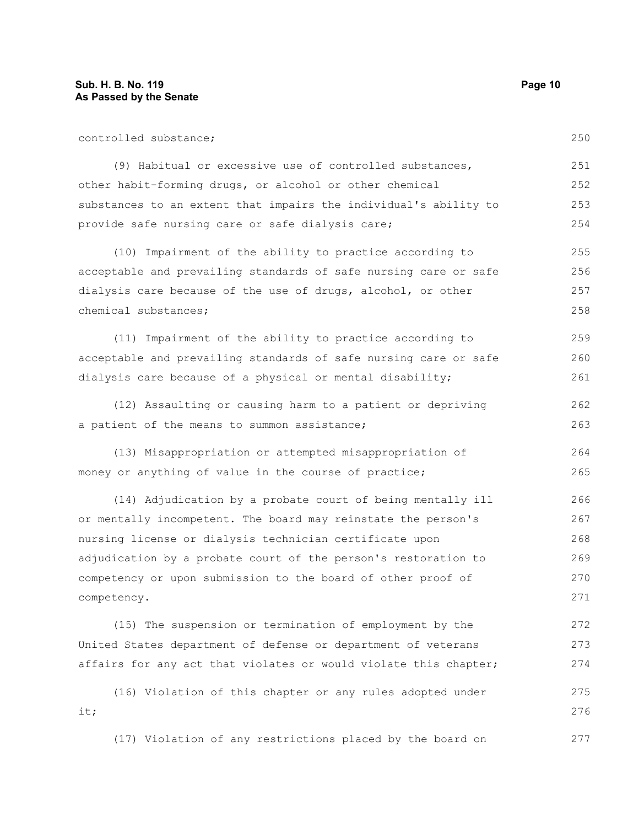| controlled substance;                                            | 250 |
|------------------------------------------------------------------|-----|
| (9) Habitual or excessive use of controlled substances,          | 251 |
| other habit-forming drugs, or alcohol or other chemical          | 252 |
| substances to an extent that impairs the individual's ability to | 253 |
| provide safe nursing care or safe dialysis care;                 | 254 |
| (10) Impairment of the ability to practice according to          | 255 |
| acceptable and prevailing standards of safe nursing care or safe | 256 |
| dialysis care because of the use of drugs, alcohol, or other     | 257 |
| chemical substances;                                             | 258 |
| (11) Impairment of the ability to practice according to          | 259 |
| acceptable and prevailing standards of safe nursing care or safe | 260 |
| dialysis care because of a physical or mental disability;        | 261 |
| (12) Assaulting or causing harm to a patient or depriving        | 262 |
| a patient of the means to summon assistance;                     | 263 |
| (13) Misappropriation or attempted misappropriation of           | 264 |
| money or anything of value in the course of practice;            | 265 |
| (14) Adjudication by a probate court of being mentally ill       | 266 |
| or mentally incompetent. The board may reinstate the person's    | 267 |
| nursing license or dialysis technician certificate upon          | 268 |
| adjudication by a probate court of the person's restoration to   | 269 |
| competency or upon submission to the board of other proof of     | 270 |
| competency.                                                      | 271 |
| (15) The suspension or termination of employment by the          | 272 |
| United States department of defense or department of veterans    | 273 |
| affairs for any act that violates or would violate this chapter; | 274 |
| (16) Violation of this chapter or any rules adopted under        | 275 |
| it;                                                              | 276 |
| (17) Violation of any restrictions placed by the board on        | 277 |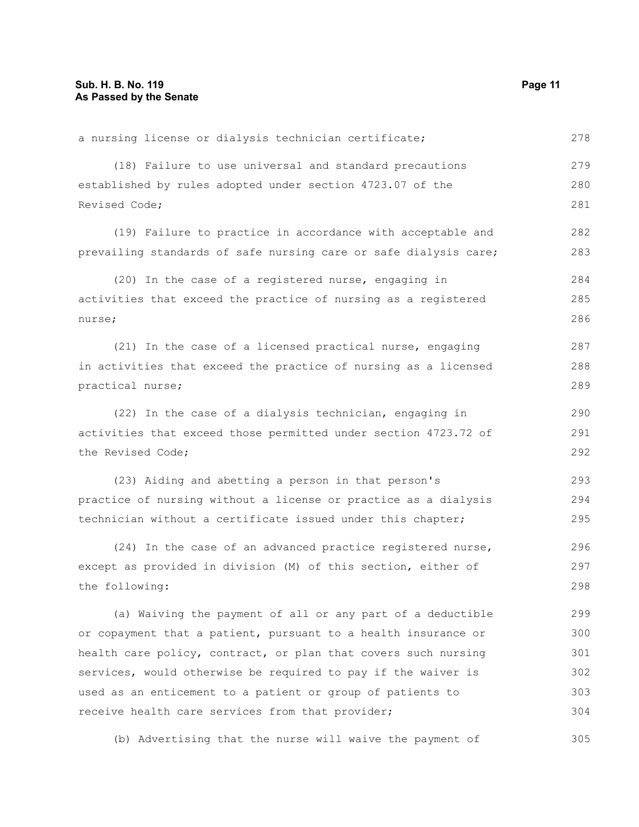a nursing license or dialysis technician certificate; (18) Failure to use universal and standard precautions established by rules adopted under section 4723.07 of the Revised Code; (19) Failure to practice in accordance with acceptable and prevailing standards of safe nursing care or safe dialysis care; (20) In the case of a registered nurse, engaging in activities that exceed the practice of nursing as a registered nurse; (21) In the case of a licensed practical nurse, engaging in activities that exceed the practice of nursing as a licensed practical nurse; (22) In the case of a dialysis technician, engaging in activities that exceed those permitted under section 4723.72 of the Revised Code; (23) Aiding and abetting a person in that person's practice of nursing without a license or practice as a dialysis technician without a certificate issued under this chapter; (24) In the case of an advanced practice registered nurse, except as provided in division (M) of this section, either of the following: (a) Waiving the payment of all or any part of a deductible or copayment that a patient, pursuant to a health insurance or health care policy, contract, or plan that covers such nursing services, would otherwise be required to pay if the waiver is used as an enticement to a patient or group of patients to receive health care services from that provider; 278 279 280 281 282 283 284 285 286 287 288 289 290 291 292 293 294 295 296 297 298 299 300 301 302 303 304

(b) Advertising that the nurse will waive the payment of 305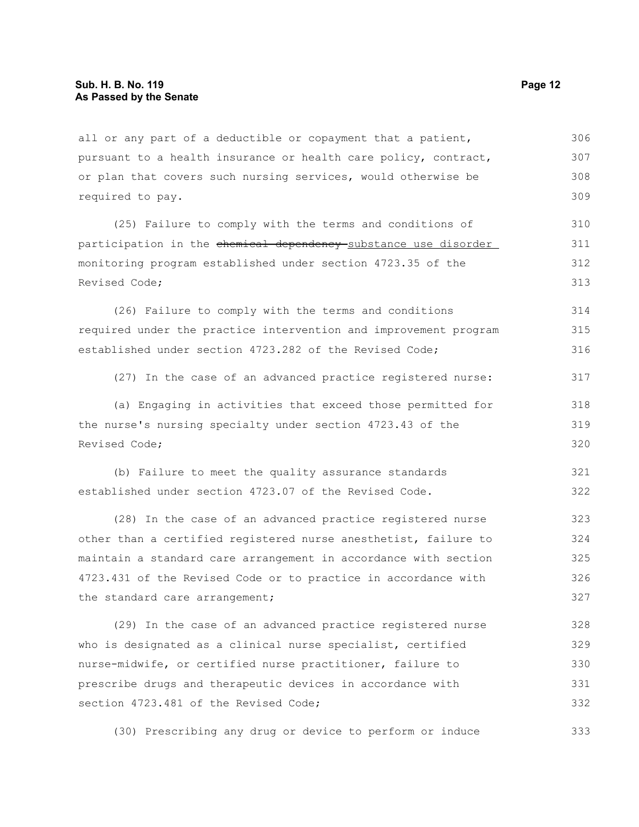all or any part of a deductible or copayment that a patient, pursuant to a health insurance or health care policy, contract, or plan that covers such nursing services, would otherwise be required to pay. 306 307 308 309

(25) Failure to comply with the terms and conditions of participation in the chemical dependency substance use disorder monitoring program established under section 4723.35 of the Revised Code; 310 311 312 313

(26) Failure to comply with the terms and conditions required under the practice intervention and improvement program established under section 4723.282 of the Revised Code; 314 315 316

(27) In the case of an advanced practice registered nurse: 317

(a) Engaging in activities that exceed those permitted for the nurse's nursing specialty under section 4723.43 of the Revised Code; 318 319 320

(b) Failure to meet the quality assurance standards established under section 4723.07 of the Revised Code. 321 322

(28) In the case of an advanced practice registered nurse other than a certified registered nurse anesthetist, failure to maintain a standard care arrangement in accordance with section 4723.431 of the Revised Code or to practice in accordance with the standard care arrangement; 323 324 325 326 327

(29) In the case of an advanced practice registered nurse who is designated as a clinical nurse specialist, certified nurse-midwife, or certified nurse practitioner, failure to prescribe drugs and therapeutic devices in accordance with section 4723.481 of the Revised Code: 328 329 330 331 332

(30) Prescribing any drug or device to perform or induce 333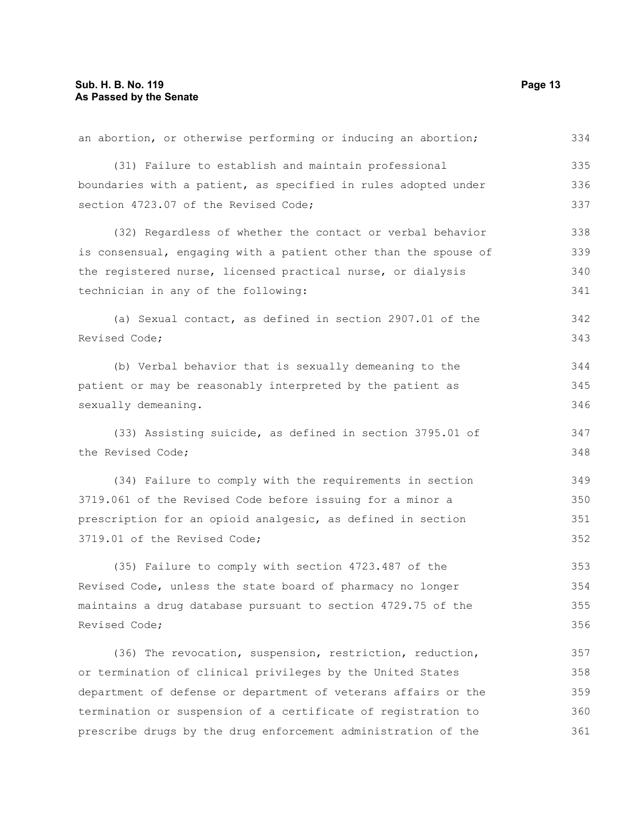| an abortion, or otherwise performing or inducing an abortion;   | 334 |
|-----------------------------------------------------------------|-----|
| (31) Failure to establish and maintain professional             | 335 |
| boundaries with a patient, as specified in rules adopted under  | 336 |
| section 4723.07 of the Revised Code;                            | 337 |
| (32) Regardless of whether the contact or verbal behavior       | 338 |
| is consensual, engaging with a patient other than the spouse of | 339 |
| the registered nurse, licensed practical nurse, or dialysis     | 340 |
| technician in any of the following:                             | 341 |
| (a) Sexual contact, as defined in section 2907.01 of the        | 342 |
| Revised Code;                                                   | 343 |
| (b) Verbal behavior that is sexually demeaning to the           | 344 |
| patient or may be reasonably interpreted by the patient as      | 345 |
| sexually demeaning.                                             | 346 |
| (33) Assisting suicide, as defined in section 3795.01 of        | 347 |
| the Revised Code;                                               | 348 |
| (34) Failure to comply with the requirements in section         | 349 |
| 3719.061 of the Revised Code before issuing for a minor a       | 350 |
| prescription for an opioid analgesic, as defined in section     | 351 |
| 3719.01 of the Revised Code;                                    | 352 |
| (35) Failure to comply with section 4723.487 of the             | 353 |
| Revised Code, unless the state board of pharmacy no longer      | 354 |
| maintains a drug database pursuant to section 4729.75 of the    | 355 |
| Revised Code;                                                   | 356 |
| (36) The revocation, suspension, restriction, reduction,        | 357 |
| or termination of clinical privileges by the United States      | 358 |
| department of defense or department of veterans affairs or the  | 359 |
| termination or suspension of a certificate of registration to   | 360 |
| prescribe drugs by the drug enforcement administration of the   | 361 |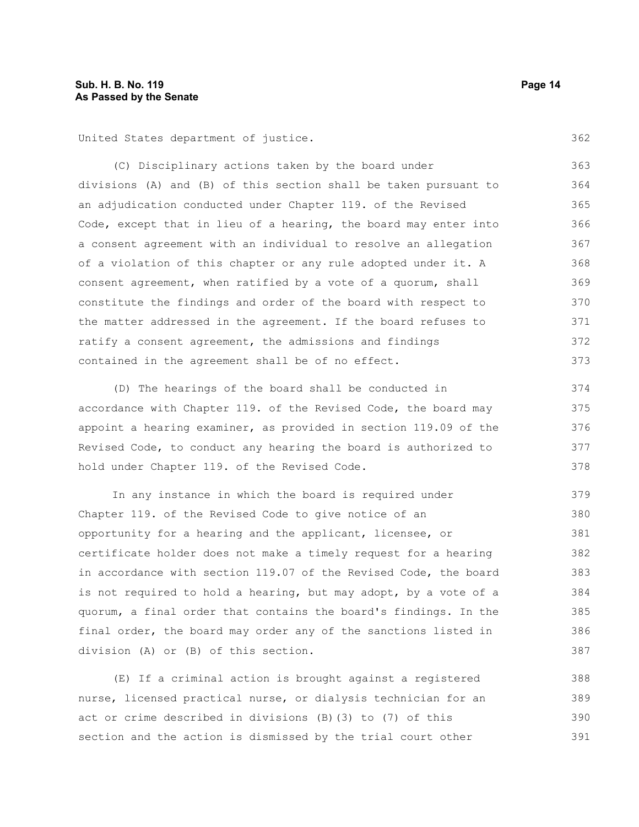United States department of justice.

(C) Disciplinary actions taken by the board under divisions (A) and (B) of this section shall be taken pursuant to an adjudication conducted under Chapter 119. of the Revised Code, except that in lieu of a hearing, the board may enter into a consent agreement with an individual to resolve an allegation of a violation of this chapter or any rule adopted under it. A consent agreement, when ratified by a vote of a quorum, shall constitute the findings and order of the board with respect to the matter addressed in the agreement. If the board refuses to ratify a consent agreement, the admissions and findings contained in the agreement shall be of no effect. 363 364 365 366 367 368 369 370 371 372 373

(D) The hearings of the board shall be conducted in accordance with Chapter 119. of the Revised Code, the board may appoint a hearing examiner, as provided in section 119.09 of the Revised Code, to conduct any hearing the board is authorized to hold under Chapter 119. of the Revised Code. 374 375 376 377 378

In any instance in which the board is required under Chapter 119. of the Revised Code to give notice of an opportunity for a hearing and the applicant, licensee, or certificate holder does not make a timely request for a hearing in accordance with section 119.07 of the Revised Code, the board is not required to hold a hearing, but may adopt, by a vote of a quorum, a final order that contains the board's findings. In the final order, the board may order any of the sanctions listed in division (A) or (B) of this section. 379 380 381 382 383 384 385 386 387

(E) If a criminal action is brought against a registered nurse, licensed practical nurse, or dialysis technician for an act or crime described in divisions (B)(3) to (7) of this section and the action is dismissed by the trial court other 388 389 390 391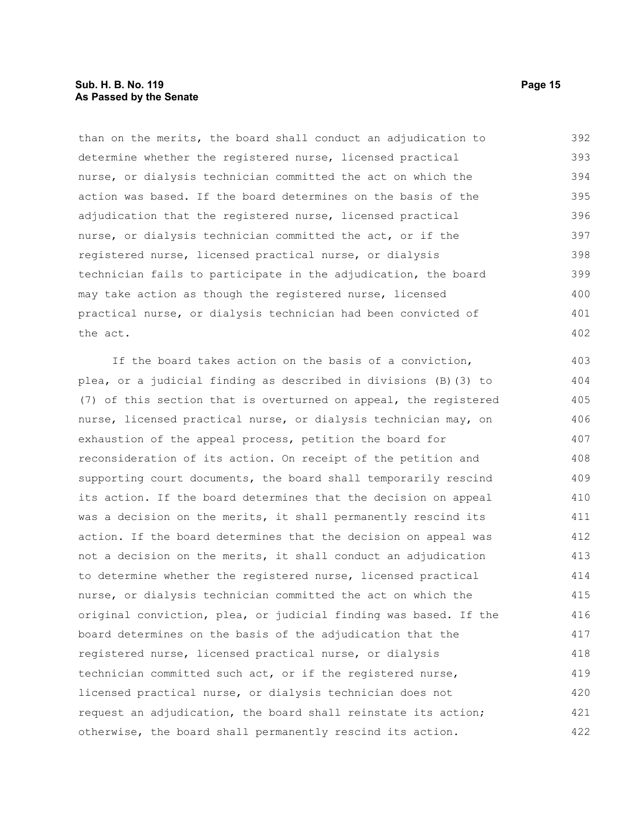# **Sub. H. B. No. 119 Page 15 As Passed by the Senate**

than on the merits, the board shall conduct an adjudication to determine whether the registered nurse, licensed practical nurse, or dialysis technician committed the act on which the action was based. If the board determines on the basis of the adjudication that the registered nurse, licensed practical nurse, or dialysis technician committed the act, or if the registered nurse, licensed practical nurse, or dialysis technician fails to participate in the adjudication, the board may take action as though the registered nurse, licensed practical nurse, or dialysis technician had been convicted of the act. 392 393 394 395 396 397 398 399 400 401 402

If the board takes action on the basis of a conviction, plea, or a judicial finding as described in divisions (B)(3) to (7) of this section that is overturned on appeal, the registered nurse, licensed practical nurse, or dialysis technician may, on exhaustion of the appeal process, petition the board for reconsideration of its action. On receipt of the petition and supporting court documents, the board shall temporarily rescind its action. If the board determines that the decision on appeal was a decision on the merits, it shall permanently rescind its action. If the board determines that the decision on appeal was not a decision on the merits, it shall conduct an adjudication to determine whether the registered nurse, licensed practical nurse, or dialysis technician committed the act on which the original conviction, plea, or judicial finding was based. If the board determines on the basis of the adjudication that the registered nurse, licensed practical nurse, or dialysis technician committed such act, or if the registered nurse, licensed practical nurse, or dialysis technician does not request an adjudication, the board shall reinstate its action; otherwise, the board shall permanently rescind its action. 403 404 405 406 407 408 409 410 411 412 413 414 415 416 417 418 419 420 421 422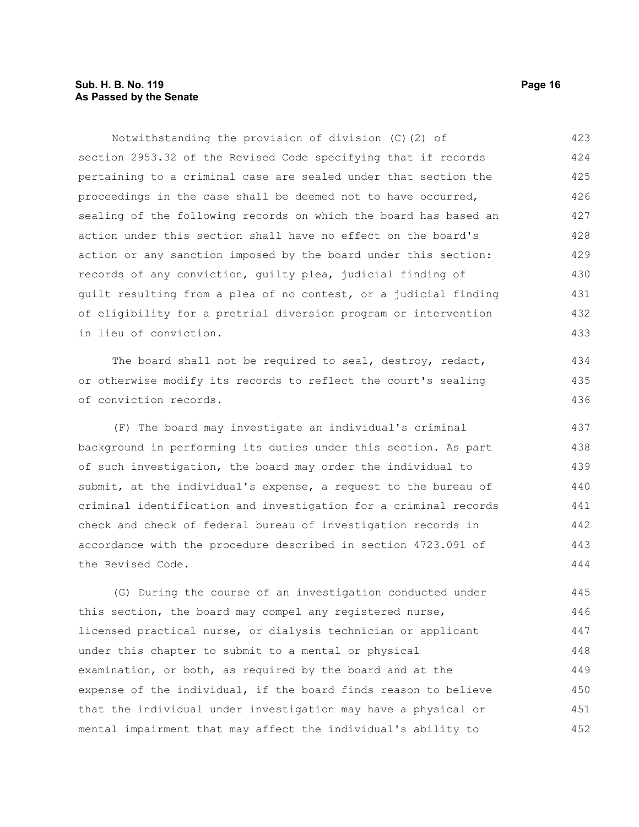# **Sub. H. B. No. 119 Page 16 As Passed by the Senate**

Notwithstanding the provision of division (C)(2) of section 2953.32 of the Revised Code specifying that if records pertaining to a criminal case are sealed under that section the proceedings in the case shall be deemed not to have occurred, sealing of the following records on which the board has based an action under this section shall have no effect on the board's action or any sanction imposed by the board under this section: records of any conviction, guilty plea, judicial finding of guilt resulting from a plea of no contest, or a judicial finding of eligibility for a pretrial diversion program or intervention in lieu of conviction. The board shall not be required to seal, destroy, redact, or otherwise modify its records to reflect the court's sealing of conviction records. (F) The board may investigate an individual's criminal background in performing its duties under this section. As part 423 424 425 426 427 428 429 430 431 432 433 434 435 436 437 438

of such investigation, the board may order the individual to submit, at the individual's expense, a request to the bureau of criminal identification and investigation for a criminal records check and check of federal bureau of investigation records in accordance with the procedure described in section 4723.091 of the Revised Code. 439 440 441 442 443 444

(G) During the course of an investigation conducted under this section, the board may compel any registered nurse, licensed practical nurse, or dialysis technician or applicant under this chapter to submit to a mental or physical examination, or both, as required by the board and at the expense of the individual, if the board finds reason to believe that the individual under investigation may have a physical or mental impairment that may affect the individual's ability to 445 446 447 448 449 450 451 452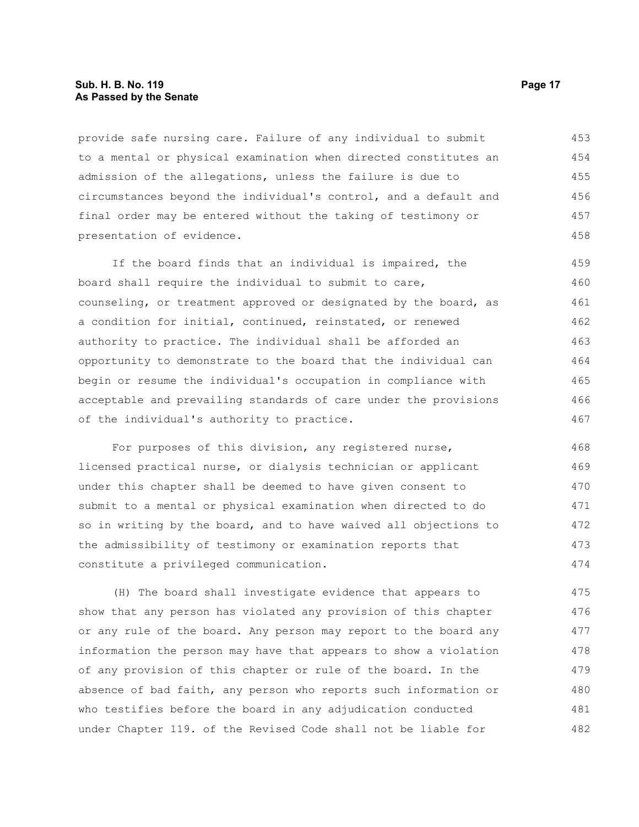# **Sub. H. B. No. 119 Page 17 As Passed by the Senate**

provide safe nursing care. Failure of any individual to submit to a mental or physical examination when directed constitutes an admission of the allegations, unless the failure is due to circumstances beyond the individual's control, and a default and final order may be entered without the taking of testimony or presentation of evidence. 453 454 455 456 457 458

If the board finds that an individual is impaired, the board shall require the individual to submit to care, counseling, or treatment approved or designated by the board, as a condition for initial, continued, reinstated, or renewed authority to practice. The individual shall be afforded an opportunity to demonstrate to the board that the individual can begin or resume the individual's occupation in compliance with acceptable and prevailing standards of care under the provisions of the individual's authority to practice. 459 460 461 462 463 464 465 466 467

For purposes of this division, any registered nurse, licensed practical nurse, or dialysis technician or applicant under this chapter shall be deemed to have given consent to submit to a mental or physical examination when directed to do so in writing by the board, and to have waived all objections to the admissibility of testimony or examination reports that constitute a privileged communication. 468 469 470 471 472 473 474

(H) The board shall investigate evidence that appears to show that any person has violated any provision of this chapter or any rule of the board. Any person may report to the board any information the person may have that appears to show a violation of any provision of this chapter or rule of the board. In the absence of bad faith, any person who reports such information or who testifies before the board in any adjudication conducted under Chapter 119. of the Revised Code shall not be liable for 475 476 477 478 479 480 481 482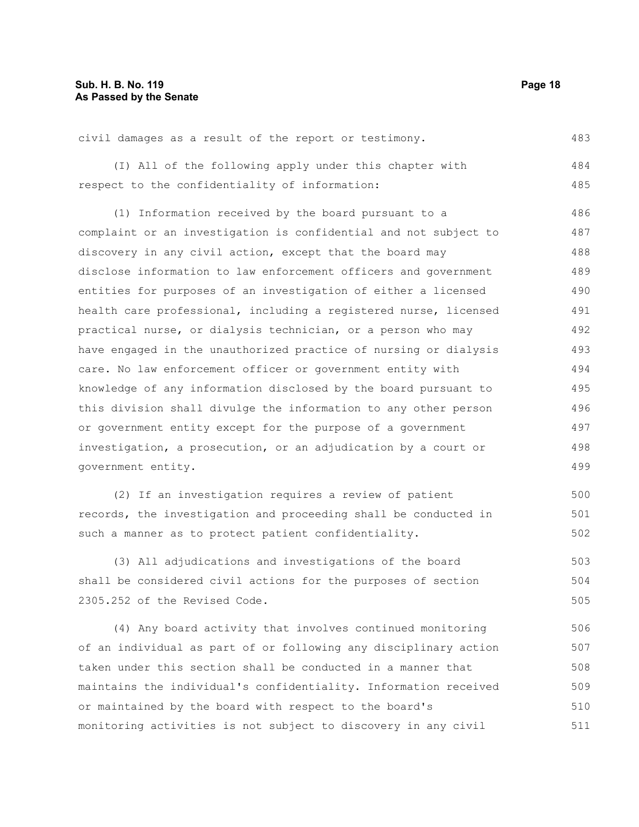civil damages as a result of the report or testimony. 483

(I) All of the following apply under this chapter with respect to the confidentiality of information: 484 485

(1) Information received by the board pursuant to a complaint or an investigation is confidential and not subject to discovery in any civil action, except that the board may disclose information to law enforcement officers and government entities for purposes of an investigation of either a licensed health care professional, including a registered nurse, licensed practical nurse, or dialysis technician, or a person who may have engaged in the unauthorized practice of nursing or dialysis care. No law enforcement officer or government entity with knowledge of any information disclosed by the board pursuant to this division shall divulge the information to any other person or government entity except for the purpose of a government investigation, a prosecution, or an adjudication by a court or government entity. 486 487 488 489 490 491 492 493 494 495 496 497 498 499

(2) If an investigation requires a review of patient records, the investigation and proceeding shall be conducted in such a manner as to protect patient confidentiality. 500 501 502

(3) All adjudications and investigations of the board shall be considered civil actions for the purposes of section 2305.252 of the Revised Code. 503 504 505

(4) Any board activity that involves continued monitoring of an individual as part of or following any disciplinary action taken under this section shall be conducted in a manner that maintains the individual's confidentiality. Information received or maintained by the board with respect to the board's monitoring activities is not subject to discovery in any civil 506 507 508 509 510 511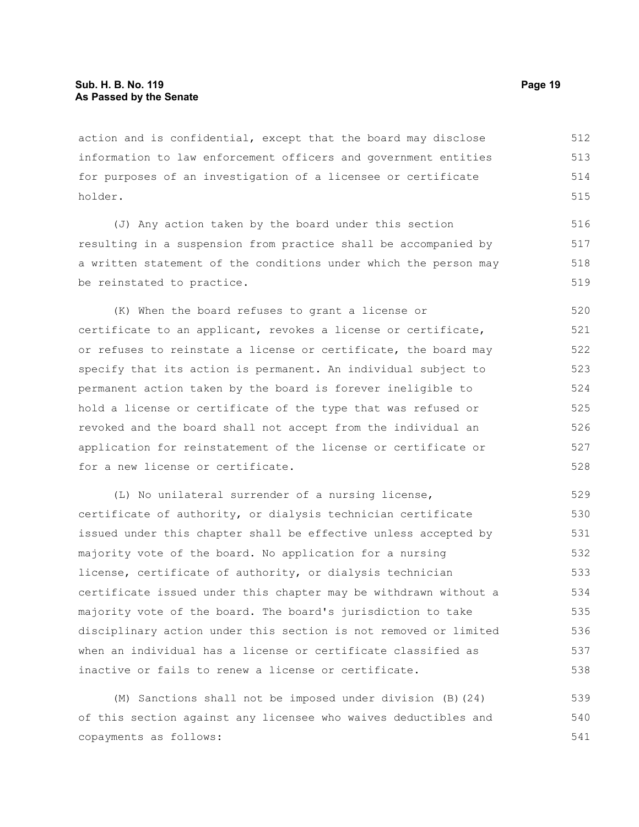action and is confidential, except that the board may disclose information to law enforcement officers and government entities for purposes of an investigation of a licensee or certificate holder. 512 513 514 515

(J) Any action taken by the board under this section resulting in a suspension from practice shall be accompanied by a written statement of the conditions under which the person may be reinstated to practice.

(K) When the board refuses to grant a license or certificate to an applicant, revokes a license or certificate, or refuses to reinstate a license or certificate, the board may specify that its action is permanent. An individual subject to permanent action taken by the board is forever ineligible to hold a license or certificate of the type that was refused or revoked and the board shall not accept from the individual an application for reinstatement of the license or certificate or for a new license or certificate. 520 521 522 523 524 525 526 527 528

(L) No unilateral surrender of a nursing license, certificate of authority, or dialysis technician certificate issued under this chapter shall be effective unless accepted by majority vote of the board. No application for a nursing license, certificate of authority, or dialysis technician certificate issued under this chapter may be withdrawn without a majority vote of the board. The board's jurisdiction to take disciplinary action under this section is not removed or limited when an individual has a license or certificate classified as inactive or fails to renew a license or certificate. 529 530 531 532 533 534 535 536 537 538

(M) Sanctions shall not be imposed under division (B)(24) of this section against any licensee who waives deductibles and copayments as follows: 539 540 541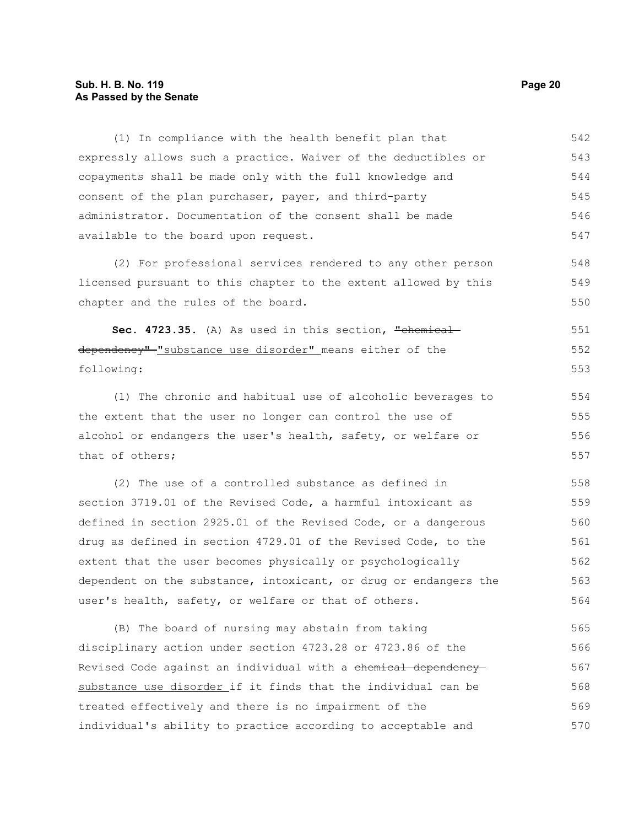# **Sub. H. B. No. 119 Page 20 As Passed by the Senate**

expressly allows such a practice. Waiver of the deductibles or copayments shall be made only with the full knowledge and consent of the plan purchaser, payer, and third-party administrator. Documentation of the consent shall be made available to the board upon request. (2) For professional services rendered to any other person licensed pursuant to this chapter to the extent allowed by this chapter and the rules of the board. Sec. 4723.35. (A) As used in this section, "chemical dependency"-"substance use disorder" means either of the following: (1) The chronic and habitual use of alcoholic beverages to the extent that the user no longer can control the use of alcohol or endangers the user's health, safety, or welfare or that of others; (2) The use of a controlled substance as defined in section 3719.01 of the Revised Code, a harmful intoxicant as defined in section 2925.01 of the Revised Code, or a dangerous drug as defined in section 4729.01 of the Revised Code, to the extent that the user becomes physically or psychologically 543 544 545 546 547 548 549 550 551 552 553 554 555 556 557 558 559 560 561 562

(1) In compliance with the health benefit plan that

dependent on the substance, intoxicant, or drug or endangers the user's health, safety, or welfare or that of others. 563 564

(B) The board of nursing may abstain from taking disciplinary action under section 4723.28 or 4723.86 of the Revised Code against an individual with a chemical dependency substance use disorder if it finds that the individual can be treated effectively and there is no impairment of the individual's ability to practice according to acceptable and 565 566 567 568 569 570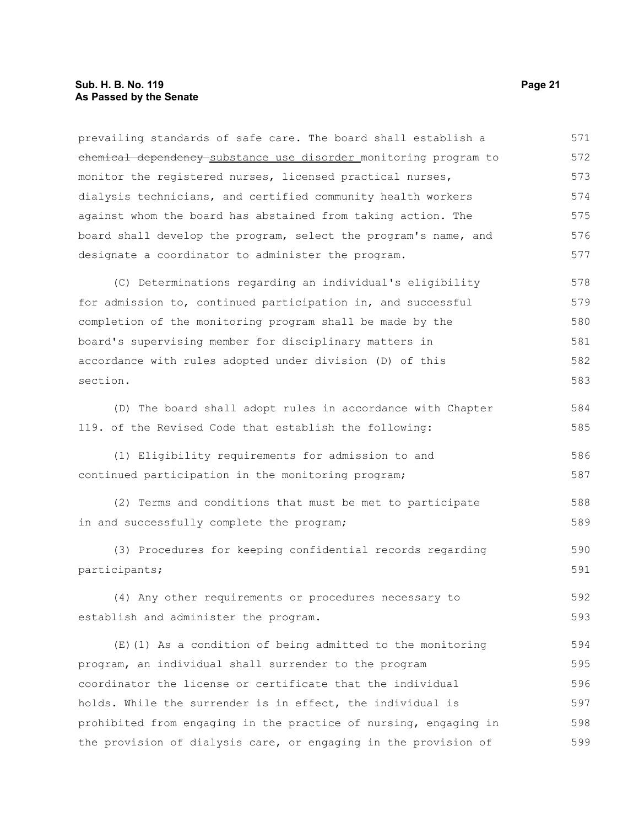# **Sub. H. B. No. 119 Page 21 As Passed by the Senate**

| prevailing standards of safe care. The board shall establish a   | 571 |
|------------------------------------------------------------------|-----|
| chemical dependency substance use disorder monitoring program to | 572 |
| monitor the registered nurses, licensed practical nurses,        | 573 |
| dialysis technicians, and certified community health workers     | 574 |
| against whom the board has abstained from taking action. The     | 575 |
| board shall develop the program, select the program's name, and  | 576 |
| designate a coordinator to administer the program.               | 577 |
| (C) Determinations regarding an individual's eligibility         | 578 |
| for admission to, continued participation in, and successful     | 579 |
| completion of the monitoring program shall be made by the        | 580 |
| board's supervising member for disciplinary matters in           | 581 |
| accordance with rules adopted under division (D) of this         | 582 |
| section.                                                         | 583 |
| (D) The board shall adopt rules in accordance with Chapter       | 584 |
| 119. of the Revised Code that establish the following:           | 585 |
| (1) Eligibility requirements for admission to and                | 586 |
| continued participation in the monitoring program;               | 587 |
| (2) Terms and conditions that must be met to participate         | 588 |
| in and successfully complete the program;                        | 589 |
| (3) Procedures for keeping confidential records regarding        | 590 |
| participants;                                                    | 591 |
| (4) Any other requirements or procedures necessary to            | 592 |
| establish and administer the program.                            | 593 |
| $(E)$ (1) As a condition of being admitted to the monitoring     | 594 |
| program, an individual shall surrender to the program            | 595 |
| coordinator the license or certificate that the individual       | 596 |
| holds. While the surrender is in effect, the individual is       | 597 |
| prohibited from engaging in the practice of nursing, engaging in | 598 |
| the provision of dialysis care, or engaging in the provision of  | 599 |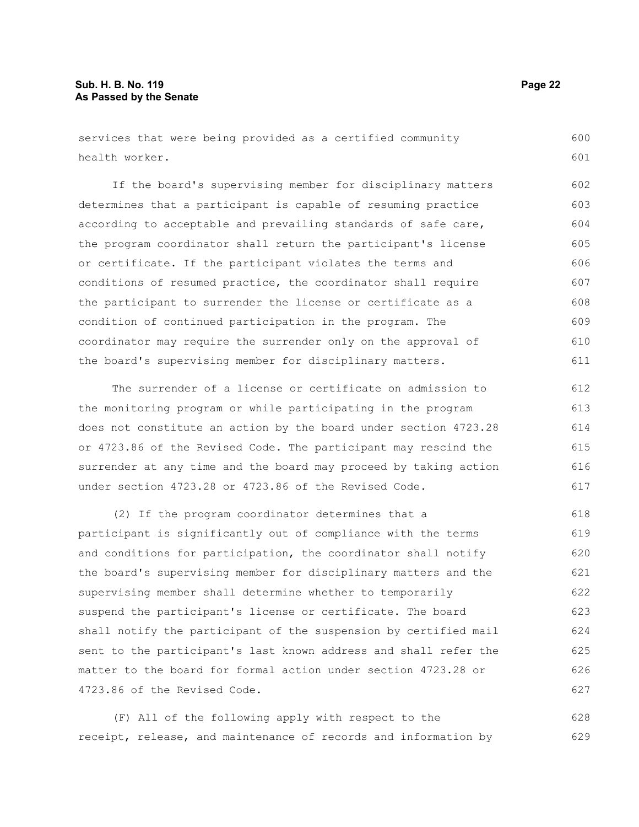services that were being provided as a certified community health worker.

If the board's supervising member for disciplinary matters determines that a participant is capable of resuming practice according to acceptable and prevailing standards of safe care, the program coordinator shall return the participant's license or certificate. If the participant violates the terms and conditions of resumed practice, the coordinator shall require the participant to surrender the license or certificate as a condition of continued participation in the program. The coordinator may require the surrender only on the approval of the board's supervising member for disciplinary matters. 602 603 604 605 606 607 608 609 610 611

The surrender of a license or certificate on admission to the monitoring program or while participating in the program does not constitute an action by the board under section 4723.28 or 4723.86 of the Revised Code. The participant may rescind the surrender at any time and the board may proceed by taking action under section 4723.28 or 4723.86 of the Revised Code. 612 613 614 615 616 617

(2) If the program coordinator determines that a participant is significantly out of compliance with the terms and conditions for participation, the coordinator shall notify the board's supervising member for disciplinary matters and the supervising member shall determine whether to temporarily suspend the participant's license or certificate. The board shall notify the participant of the suspension by certified mail sent to the participant's last known address and shall refer the matter to the board for formal action under section 4723.28 or 4723.86 of the Revised Code. 618 619 620 621 622 623 624 625 626 627

(F) All of the following apply with respect to the receipt, release, and maintenance of records and information by 628 629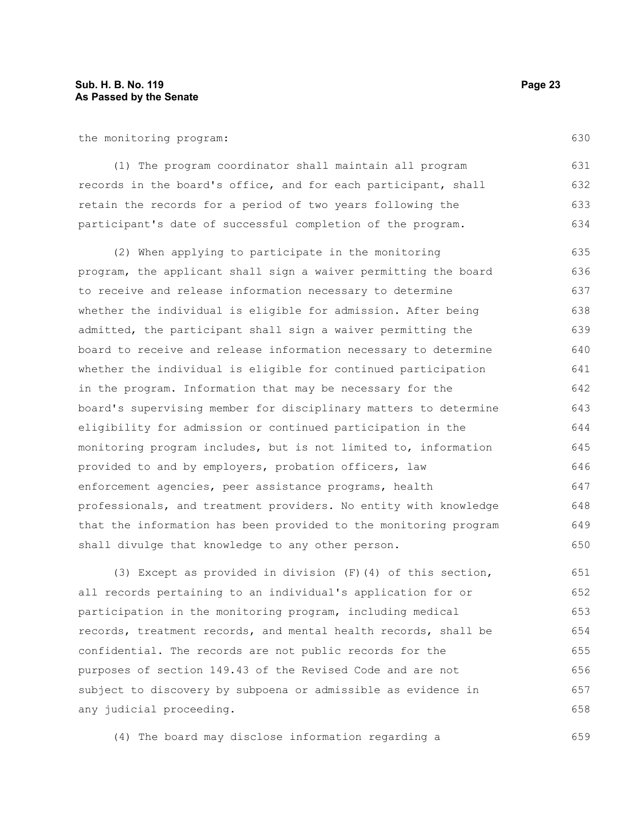the monitoring program:

(1) The program coordinator shall maintain all program records in the board's office, and for each participant, shall retain the records for a period of two years following the participant's date of successful completion of the program. 631 632 633 634

(2) When applying to participate in the monitoring program, the applicant shall sign a waiver permitting the board to receive and release information necessary to determine whether the individual is eligible for admission. After being admitted, the participant shall sign a waiver permitting the board to receive and release information necessary to determine whether the individual is eligible for continued participation in the program. Information that may be necessary for the board's supervising member for disciplinary matters to determine eligibility for admission or continued participation in the monitoring program includes, but is not limited to, information provided to and by employers, probation officers, law enforcement agencies, peer assistance programs, health professionals, and treatment providers. No entity with knowledge that the information has been provided to the monitoring program shall divulge that knowledge to any other person. 635 636 637 638 639 640 641 642 643 644 645 646 647 648 649 650

(3) Except as provided in division (F)(4) of this section, all records pertaining to an individual's application for or participation in the monitoring program, including medical records, treatment records, and mental health records, shall be confidential. The records are not public records for the purposes of section 149.43 of the Revised Code and are not subject to discovery by subpoena or admissible as evidence in any judicial proceeding. 651 652 653 654 655 656 657 658

(4) The board may disclose information regarding a

630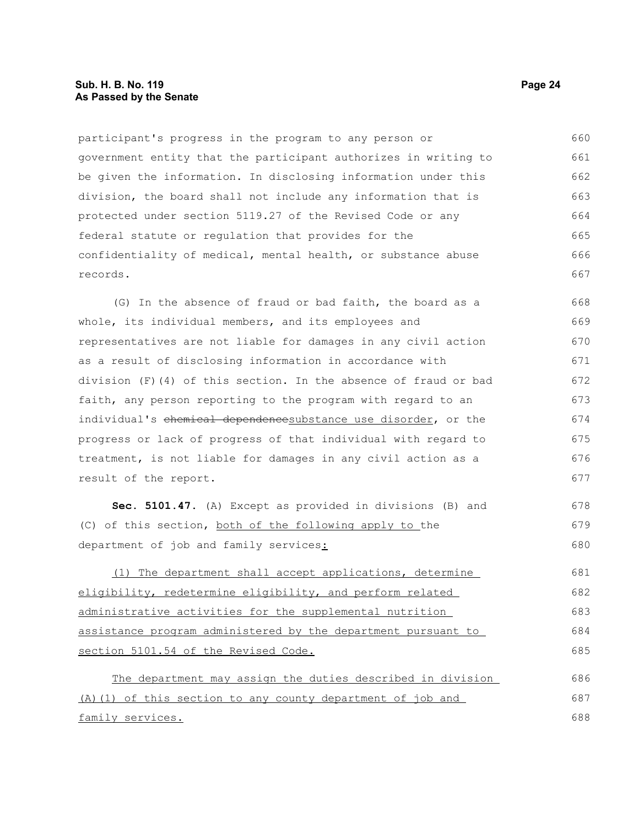# **Sub. H. B. No. 119 Page 24 As Passed by the Senate**

participant's progress in the program to any person or government entity that the participant authorizes in writing to be given the information. In disclosing information under this division, the board shall not include any information that is protected under section 5119.27 of the Revised Code or any federal statute or regulation that provides for the confidentiality of medical, mental health, or substance abuse records. 660 661 662 663 664 665 666 667

(G) In the absence of fraud or bad faith, the board as a whole, its individual members, and its employees and representatives are not liable for damages in any civil action as a result of disclosing information in accordance with division (F)(4) of this section. In the absence of fraud or bad faith, any person reporting to the program with regard to an individual's chemical dependencesubstance use disorder, or the progress or lack of progress of that individual with regard to treatment, is not liable for damages in any civil action as a result of the report. 668 669 670 671 672 673 674 675 676 677

**Sec. 5101.47.** (A) Except as provided in divisions (B) and (C) of this section, both of the following apply to the department of job and family services: 678 679 680

(1) The department shall accept applications, determine eligibility, redetermine eligibility, and perform related administrative activities for the supplemental nutrition assistance program administered by the department pursuant to section 5101.54 of the Revised Code. 681 682 683 684 685

The department may assign the duties described in division (A)(1) of this section to any county department of job and family services. 686 687 688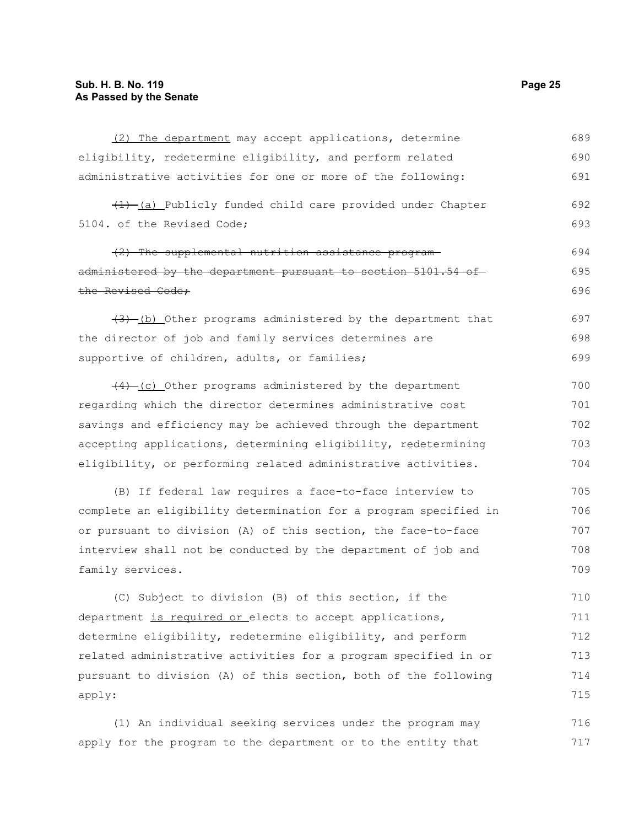| (2) The department may accept applications, determine            | 689 |
|------------------------------------------------------------------|-----|
| eligibility, redetermine eligibility, and perform related        | 690 |
| administrative activities for one or more of the following:      | 691 |
| $(1)$ (a) Publicly funded child care provided under Chapter      | 692 |
| 5104. of the Revised Code;                                       | 693 |
| (2) The supplemental nutrition assistance program-               | 694 |
| administered by the department pursuant to section 5101.54 of    | 695 |
| the Revised Code;                                                | 696 |
| $(3)$ (b) Other programs administered by the department that     | 697 |
| the director of job and family services determines are           | 698 |
| supportive of children, adults, or families;                     | 699 |
| $(4)$ (c) Other programs administered by the department          | 700 |
| regarding which the director determines administrative cost      | 701 |
| savings and efficiency may be achieved through the department    | 702 |
| accepting applications, determining eligibility, redetermining   | 703 |
| eligibility, or performing related administrative activities.    | 704 |
| (B) If federal law requires a face-to-face interview to          | 705 |
| complete an eligibility determination for a program specified in | 706 |
| or pursuant to division (A) of this section, the face-to-face    | 707 |
| interview shall not be conducted by the department of job and    | 708 |
| family services.                                                 | 709 |
| (C) Subject to division (B) of this section, if the              | 710 |
| department is required or elects to accept applications,         | 711 |
| determine eligibility, redetermine eligibility, and perform      | 712 |
| related administrative activities for a program specified in or  | 713 |
| pursuant to division (A) of this section, both of the following  | 714 |
| apply:                                                           | 715 |
| (1) An individual seeking services under the program may         | 716 |

apply for the program to the department or to the entity that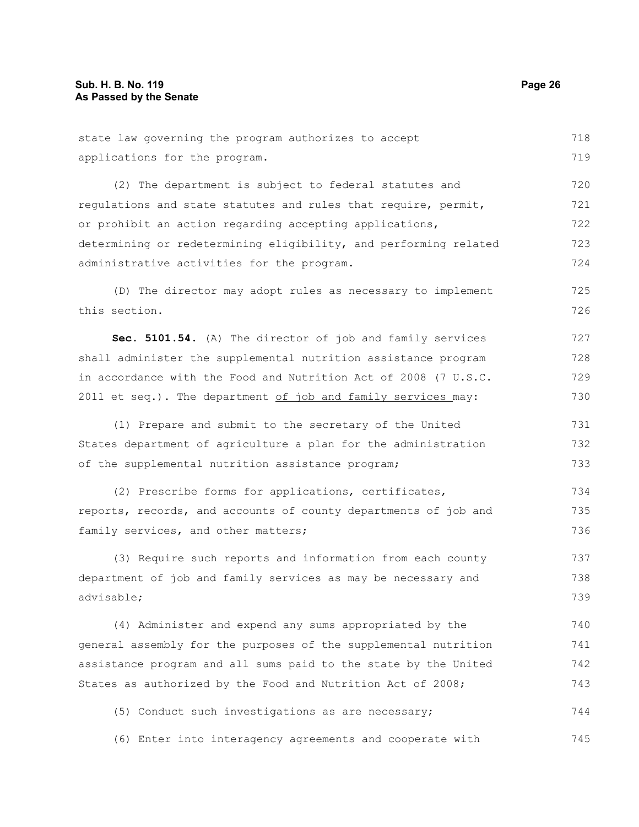| state law governing the program authorizes to accept             | 718 |
|------------------------------------------------------------------|-----|
| applications for the program.                                    | 719 |
| (2) The department is subject to federal statutes and            | 720 |
| requlations and state statutes and rules that require, permit,   | 721 |
| or prohibit an action regarding accepting applications,          | 722 |
| determining or redetermining eligibility, and performing related | 723 |
| administrative activities for the program.                       | 724 |
| (D) The director may adopt rules as necessary to implement       | 725 |
| this section.                                                    | 726 |
| Sec. 5101.54. (A) The director of job and family services        | 727 |
| shall administer the supplemental nutrition assistance program   | 728 |
| in accordance with the Food and Nutrition Act of 2008 (7 U.S.C.  | 729 |
| 2011 et seq.). The department of job and family services_may:    | 730 |
| (1) Prepare and submit to the secretary of the United            | 731 |
| States department of agriculture a plan for the administration   | 732 |
| of the supplemental nutrition assistance program;                | 733 |
| (2) Prescribe forms for applications, certificates,              | 734 |
| reports, records, and accounts of county departments of job and  | 735 |
| family services, and other matters;                              | 736 |
| (3) Require such reports and information from each county        | 737 |
| department of job and family services as may be necessary and    | 738 |
| advisable;                                                       | 739 |
| (4) Administer and expend any sums appropriated by the           | 740 |
| general assembly for the purposes of the supplemental nutrition  | 741 |
| assistance program and all sums paid to the state by the United  | 742 |
| States as authorized by the Food and Nutrition Act of 2008;      | 743 |
| (5) Conduct such investigations as are necessary;                | 744 |
| (6) Enter into interagency agreements and cooperate with         | 745 |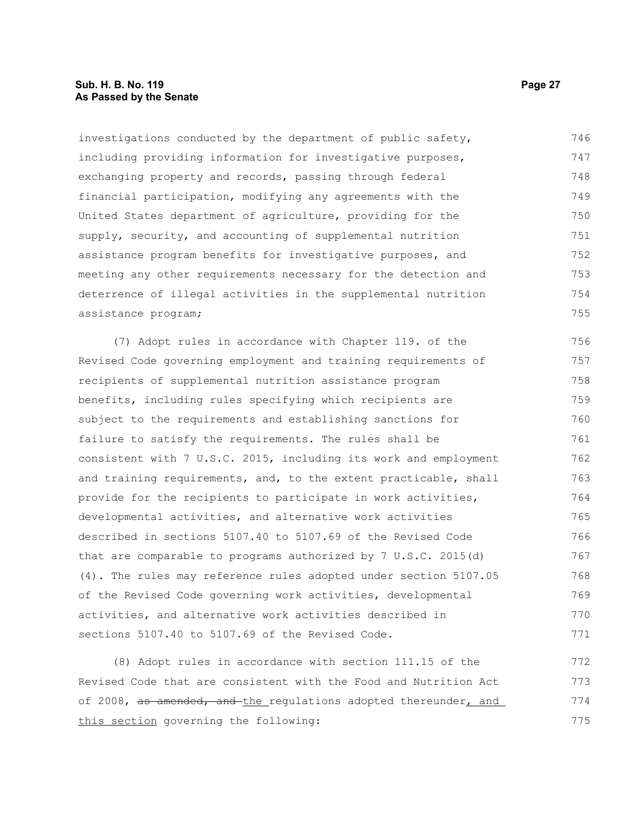# **Sub. H. B. No. 119 Page 27 As Passed by the Senate**

investigations conducted by the department of public safety, including providing information for investigative purposes, exchanging property and records, passing through federal financial participation, modifying any agreements with the United States department of agriculture, providing for the supply, security, and accounting of supplemental nutrition assistance program benefits for investigative purposes, and meeting any other requirements necessary for the detection and deterrence of illegal activities in the supplemental nutrition assistance program; 746 747 748 749 750 751 752 753 754 755

(7) Adopt rules in accordance with Chapter 119. of the Revised Code governing employment and training requirements of recipients of supplemental nutrition assistance program benefits, including rules specifying which recipients are subject to the requirements and establishing sanctions for failure to satisfy the requirements. The rules shall be consistent with 7 U.S.C. 2015, including its work and employment and training requirements, and, to the extent practicable, shall provide for the recipients to participate in work activities, developmental activities, and alternative work activities described in sections 5107.40 to 5107.69 of the Revised Code that are comparable to programs authorized by 7 U.S.C. 2015(d) (4). The rules may reference rules adopted under section 5107.05 of the Revised Code governing work activities, developmental activities, and alternative work activities described in sections 5107.40 to 5107.69 of the Revised Code. 756 757 758 759 760 761 762 763 764 765 766 767 768 769 770 771

(8) Adopt rules in accordance with section 111.15 of the Revised Code that are consistent with the Food and Nutrition Act of 2008, as amended, and the regulations adopted thereunder, and this section governing the following: 772 773 774 775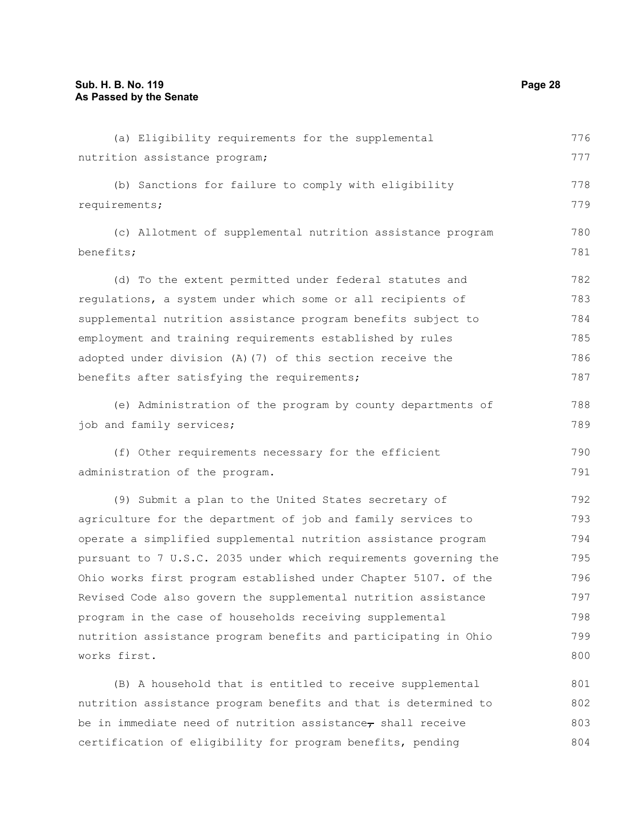| (a) Eligibility requirements for the supplemental                    | 776 |
|----------------------------------------------------------------------|-----|
| nutrition assistance program;                                        | 777 |
| (b) Sanctions for failure to comply with eligibility                 | 778 |
| requirements;                                                        | 779 |
| (c) Allotment of supplemental nutrition assistance program           | 780 |
| benefits;                                                            | 781 |
| (d) To the extent permitted under federal statutes and               | 782 |
| regulations, a system under which some or all recipients of          | 783 |
| supplemental nutrition assistance program benefits subject to        | 784 |
| employment and training requirements established by rules            | 785 |
| adopted under division (A) (7) of this section receive the           | 786 |
| benefits after satisfying the requirements;                          | 787 |
| (e) Administration of the program by county departments of           | 788 |
| job and family services;                                             | 789 |
| (f) Other requirements necessary for the efficient                   | 790 |
| administration of the program.                                       | 791 |
| (9) Submit a plan to the United States secretary of                  | 792 |
| agriculture for the department of job and family services to         | 793 |
| operate a simplified supplemental nutrition assistance program       | 794 |
| pursuant to 7 U.S.C. 2035 under which requirements governing the     | 795 |
| Ohio works first program established under Chapter 5107. of the      | 796 |
| Revised Code also govern the supplemental nutrition assistance       | 797 |
| program in the case of households receiving supplemental             | 798 |
| nutrition assistance program benefits and participating in Ohio      | 799 |
| works first.                                                         | 800 |
| (B) A household that is entitled to receive supplemental             | 801 |
| nutrition assistance program benefits and that is determined to      | 802 |
| be in immediate need of nutrition assistance $_{\tau}$ shall receive | 803 |
| certification of eligibility for program benefits, pending           | 804 |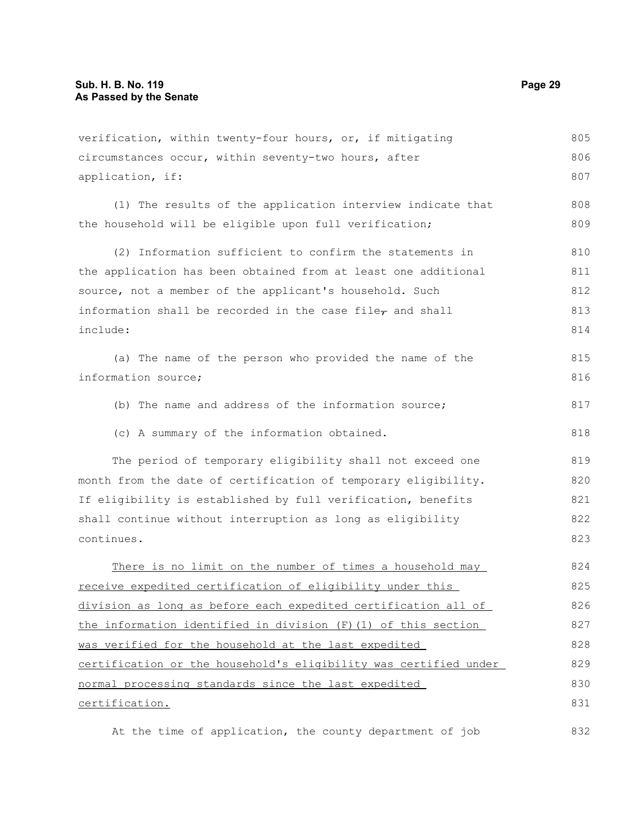verification, within twenty-four hours, or, if mitigating circumstances occur, within seventy-two hours, after application, if: (1) The results of the application interview indicate that the household will be eligible upon full verification; (2) Information sufficient to confirm the statements in the application has been obtained from at least one additional source, not a member of the applicant's household. Such information shall be recorded in the case file $_{\tau}$  and shall include: (a) The name of the person who provided the name of the information source; (b) The name and address of the information source; (c) A summary of the information obtained. The period of temporary eligibility shall not exceed one month from the date of certification of temporary eligibility. If eligibility is established by full verification, benefits shall continue without interruption as long as eligibility continues. There is no limit on the number of times a household may receive expedited certification of eligibility under this division as long as before each expedited certification all of the information identified in division (F)(1) of this section was verified for the household at the last expedited certification or the household's eligibility was certified under normal processing standards since the last expedited certification. At the time of application, the county department of job 805 806 807 808 809 810 811 812 813 814 815 816 817 818 819 820 821 822 823 824 825 826 827 828 829 830 831 832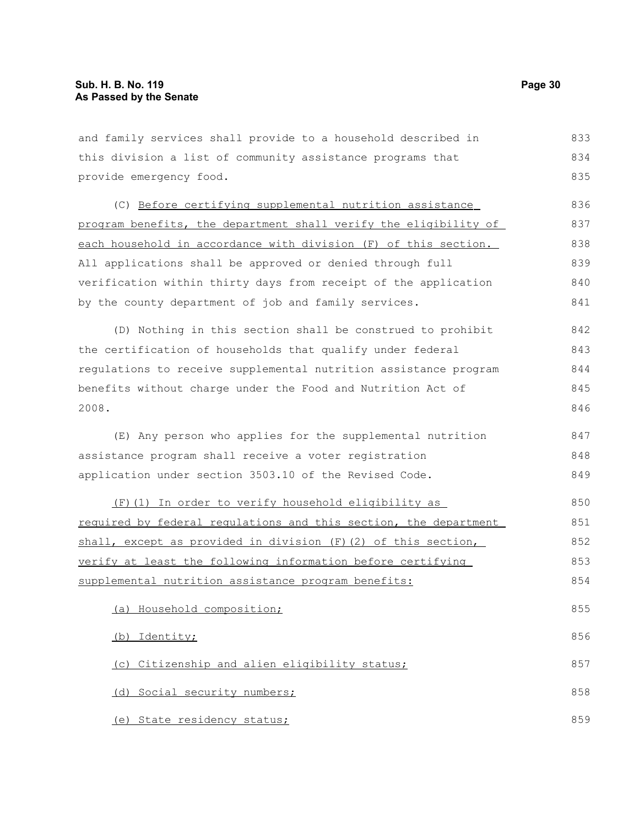and family services shall provide to a household described in this division a list of community assistance programs that provide emergency food. (C) Before certifying supplemental nutrition assistance program benefits, the department shall verify the eligibility of each household in accordance with division (F) of this section. All applications shall be approved or denied through full verification within thirty days from receipt of the application by the county department of job and family services. (D) Nothing in this section shall be construed to prohibit the certification of households that qualify under federal regulations to receive supplemental nutrition assistance program benefits without charge under the Food and Nutrition Act of 2008. (E) Any person who applies for the supplemental nutrition assistance program shall receive a voter registration application under section 3503.10 of the Revised Code. (F)(1) In order to verify household eligibility as required by federal regulations and this section, the department shall, except as provided in division (F)(2) of this section, verify at least the following information before certifying supplemental nutrition assistance program benefits: (a) Household composition; (b) Identity; (c) Citizenship and alien eligibility status; (d) Social security numbers; (e) State residency status; 833 834 835 836 837 838 839 840 841 842 843 844 845 846 847 848 849 850 851 852 853 854 855 856 857 858 859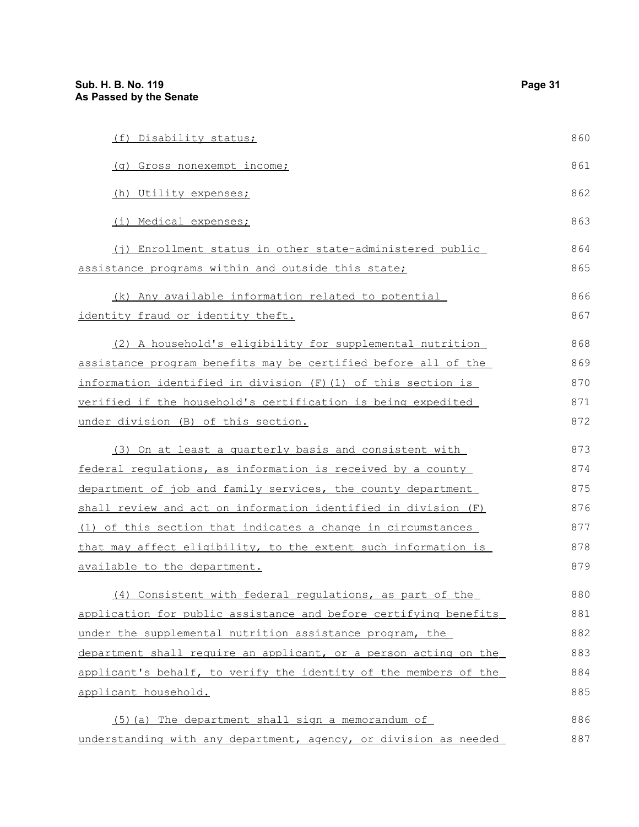| (f) Disability status;                                           | 860 |
|------------------------------------------------------------------|-----|
| (g) Gross nonexempt income;                                      | 861 |
| (h) Utility expenses;                                            | 862 |
| (i) Medical expenses;                                            | 863 |
| (j) Enrollment status in other state-administered public         | 864 |
| assistance programs within and outside this state;               | 865 |
| (k) Any available information related to potential               | 866 |
| identity fraud or identity theft.                                | 867 |
| (2) A household's eligibility for supplemental nutrition         | 868 |
| assistance program benefits may be certified before all of the   | 869 |
| information identified in division (F) (1) of this section is    | 870 |
| verified if the household's certification is being expedited     | 871 |
| under division (B) of this section.                              | 872 |
| (3) On at least a quarterly basis and consistent with            | 873 |
| federal regulations, as information is received by a county      | 874 |
| department of job and family services, the county department     | 875 |
| shall review and act on information identified in division (F)   | 876 |
| (1) of this section that indicates a change in circumstances     | 877 |
| that may affect eligibility, to the extent such information is   | 878 |
| available to the department.                                     | 879 |
| (4) Consistent with federal regulations, as part of the          | 880 |
| application for public assistance and before certifying benefits | 881 |
| under the supplemental nutrition assistance program, the         | 882 |
| department shall require an applicant, or a person acting on the | 883 |
| applicant's behalf, to verify the identity of the members of the | 884 |
| applicant household.                                             | 885 |

(5)(a) The department shall sign a memorandum of understanding with any department, agency, or division as needed 886 887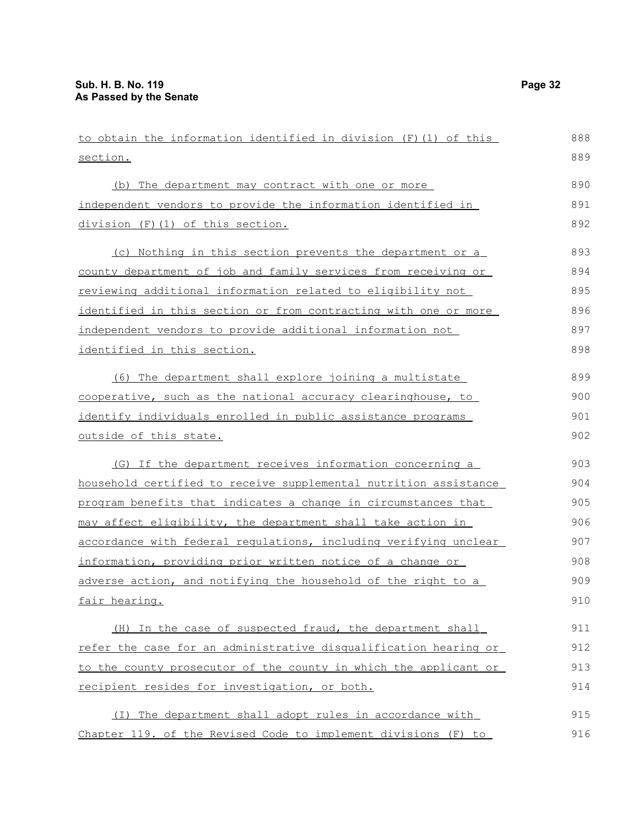| to obtain the information identified in division (F) (1) of this | 888 |
|------------------------------------------------------------------|-----|
| section.                                                         | 889 |
| (b) The department may contract with one or more                 | 890 |
| independent vendors to provide the information identified in     | 891 |
| division (F)(1) of this section.                                 | 892 |
| (c) Nothing in this section prevents the department or a         | 893 |
| county department of job and family services from receiving or   | 894 |
| reviewing additional information related to eligibility not      | 895 |
| identified in this section or from contracting with one or more  | 896 |
| independent vendors to provide additional information not        | 897 |
| identified in this section.                                      | 898 |
| (6) The department shall explore joining a multistate            | 899 |
| cooperative, such as the national accuracy clearinghouse, to     | 900 |
| identify individuals enrolled in public assistance programs      | 901 |
| outside of this state.                                           | 902 |
| (G) If the department receives information concerning a          | 903 |
| household certified to receive supplemental nutrition assistance | 904 |
| program benefits that indicates a change in circumstances that   | 905 |
| may affect eligibility, the department shall take action in      | 906 |
| accordance with federal regulations, including verifying unclear | 907 |
| information, providing prior written notice of a change or       | 908 |
| adverse action, and notifying the household of the right to a    | 909 |
| fair hearing.                                                    | 910 |
| (H) In the case of suspected fraud, the department shall         | 911 |
| refer the case for an administrative disqualification hearing or | 912 |
| to the county prosecutor of the county in which the applicant or | 913 |
| recipient resides for investigation, or both.                    | 914 |
| (I) The department shall adopt rules in accordance with          | 915 |
| Chapter 119. of the Revised Code to implement divisions (F) to   | 916 |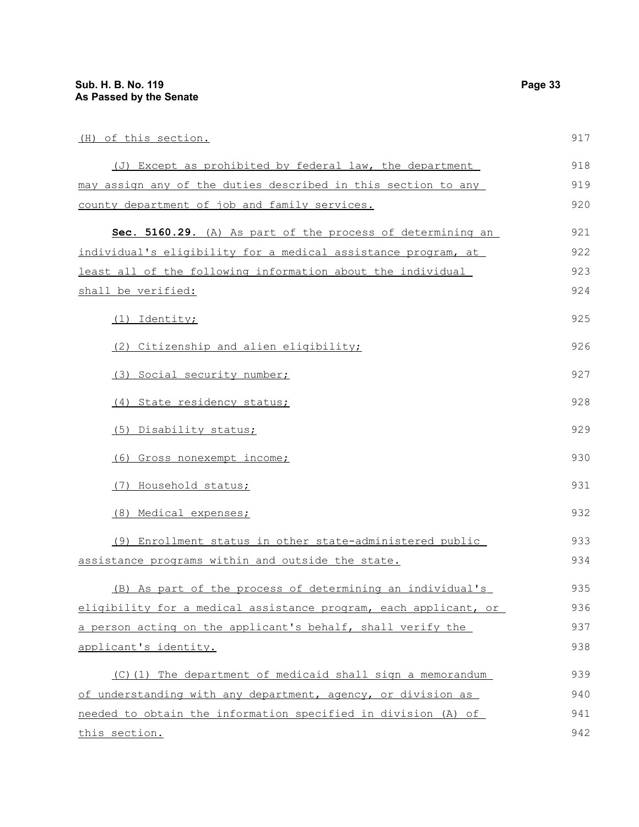(H) of this section.

| (J) Except as prohibited by federal law, the department          | 918 |
|------------------------------------------------------------------|-----|
| may assign any of the duties described in this section to any    | 919 |
| county department of job and family services.                    | 920 |
| Sec. 5160.29. (A) As part of the process of determining an       | 921 |
| individual's eligibility for a medical assistance program, at    | 922 |
| least all of the following information about the individual      | 923 |
| shall be verified:                                               | 924 |
| (1) Identity;                                                    | 925 |
| (2) Citizenship and alien eligibility;                           | 926 |
| (3) Social security number;                                      | 927 |
| (4) State residency status;                                      | 928 |
| (5) Disability status;                                           | 929 |
| (6) Gross nonexempt income;                                      | 930 |
| (7) Household status;                                            | 931 |
| (8) Medical expenses;                                            | 932 |
| (9) Enrollment status in other state-administered public         | 933 |
| assistance programs within and outside the state.                | 934 |
| (B) As part of the process of determining an individual's        | 935 |
| eligibility for a medical assistance program, each applicant, or | 936 |
| a person acting on the applicant's behalf, shall verify the      | 937 |
| applicant's identity.                                            | 938 |
| (C)(1) The department of medicaid shall sign a memorandum        | 939 |
| of understanding with any department, agency, or division as     | 940 |
| needed to obtain the information specified in division (A) of    | 941 |
| this section.                                                    | 942 |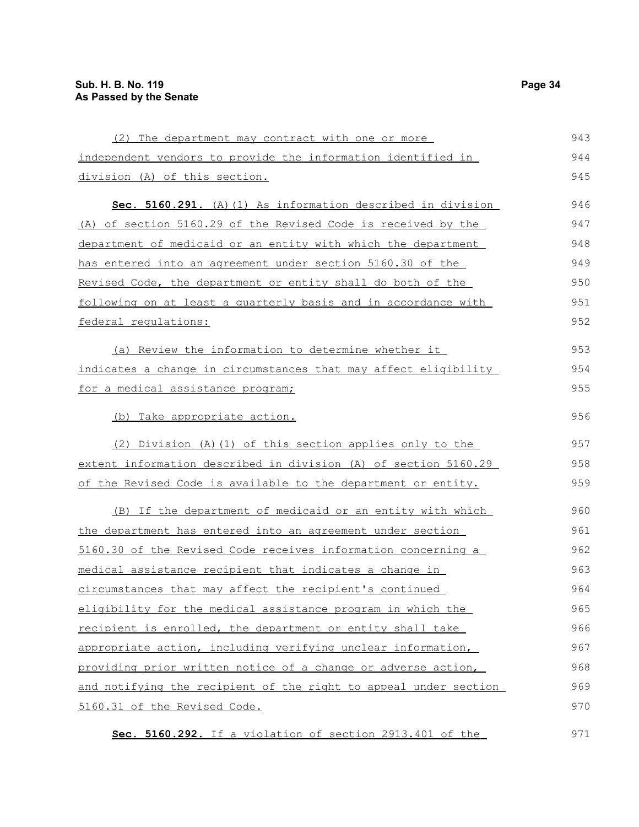| (2) The department may contract with one or more                        | 943 |
|-------------------------------------------------------------------------|-----|
| independent vendors to provide the information identified in            | 944 |
| division (A) of this section.                                           | 945 |
| Sec. 5160.291. (A) (1) As information described in division             | 946 |
| (A) of section 5160.29 of the Revised Code is received by the           | 947 |
| department of medicaid or an entity with which the department           | 948 |
| <u>has entered into an agreement under section 5160.30 of the </u>      | 949 |
| <u>Revised Code, the department or entity shall do both of the </u>     | 950 |
| following on at least a quarterly basis and in accordance with          | 951 |
| federal regulations:                                                    | 952 |
| (a) Review the information to determine whether it                      | 953 |
| indicates a change in circumstances that may affect eligibility         | 954 |
| for a medical assistance program;                                       | 955 |
| (b) Take appropriate action.                                            | 956 |
| (2) Division (A) (1) of this section applies only to the                | 957 |
| <u>extent information described in division (A) of section 5160.29 </u> | 958 |
| <u>of the Revised Code is available to the department or entity.</u>    | 959 |
| (B) If the department of medicaid or an entity with which               | 960 |
| the department has entered into an agreement under section              | 961 |
| 5160.30 of the Revised Code receives information concerning a           | 962 |
| medical assistance recipient that indicates a change in                 | 963 |
| circumstances that may affect the recipient's continued                 | 964 |
| eligibility for the medical assistance program in which the             | 965 |
| recipient is enrolled, the department or entity shall take              | 966 |
| appropriate action, including verifying unclear information,            | 967 |
| providing prior written notice of a change or adverse action,           | 968 |
| and notifying the recipient of the right to appeal under section        | 969 |
| 5160.31 of the Revised Code.                                            | 970 |
|                                                                         |     |

 **Sec. 5160.292.** If a violation of section 2913.401 of the 971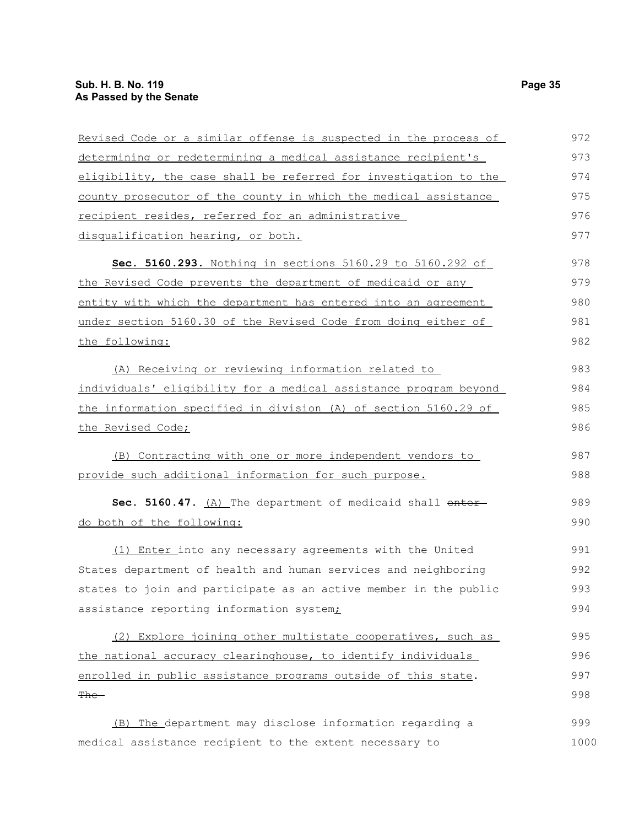| Revised Code or a similar offense is suspected in the process of | 972  |
|------------------------------------------------------------------|------|
| determining or redetermining a medical assistance recipient's    | 973  |
| eligibility, the case shall be referred for investigation to the | 974  |
| county prosecutor of the county in which the medical assistance  | 975  |
| recipient resides, referred for an administrative                | 976  |
| disqualification hearing, or both.                               | 977  |
| Sec. 5160.293. Nothing in sections 5160.29 to 5160.292 of        | 978  |
| the Revised Code prevents the department of medicaid or any      | 979  |
| entity with which the department has entered into an agreement   | 980  |
| under section 5160.30 of the Revised Code from doing either of   | 981  |
| the following:                                                   | 982  |
| (A) Receiving or reviewing information related to                | 983  |
| individuals' eligibility for a medical assistance program beyond | 984  |
| the information specified in division (A) of section 5160.29 of  | 985  |
| the Revised Code;                                                | 986  |
| (B) Contracting with one or more independent vendors to          | 987  |
| provide such additional information for such purpose.            | 988  |
| Sec. 5160.47. (A) The department of medicaid shall enter-        | 989  |
| do both of the following:                                        | 990  |
| (1) Enter into any necessary agreements with the United          | 991  |
| States department of health and human services and neighboring   | 992  |
| states to join and participate as an active member in the public | 993  |
| assistance reporting information system <sub>i</sub>             | 994  |
| (2) Explore joining other multistate cooperatives, such as       | 995  |
| the national accuracy clearinghouse, to identify individuals     | 996  |
| enrolled in public assistance programs outside of this state.    | 997  |
| <del>The</del>                                                   | 998  |
| (B) The department may disclose information regarding a          | 999  |
| medical assistance recipient to the extent necessary to          | 1000 |